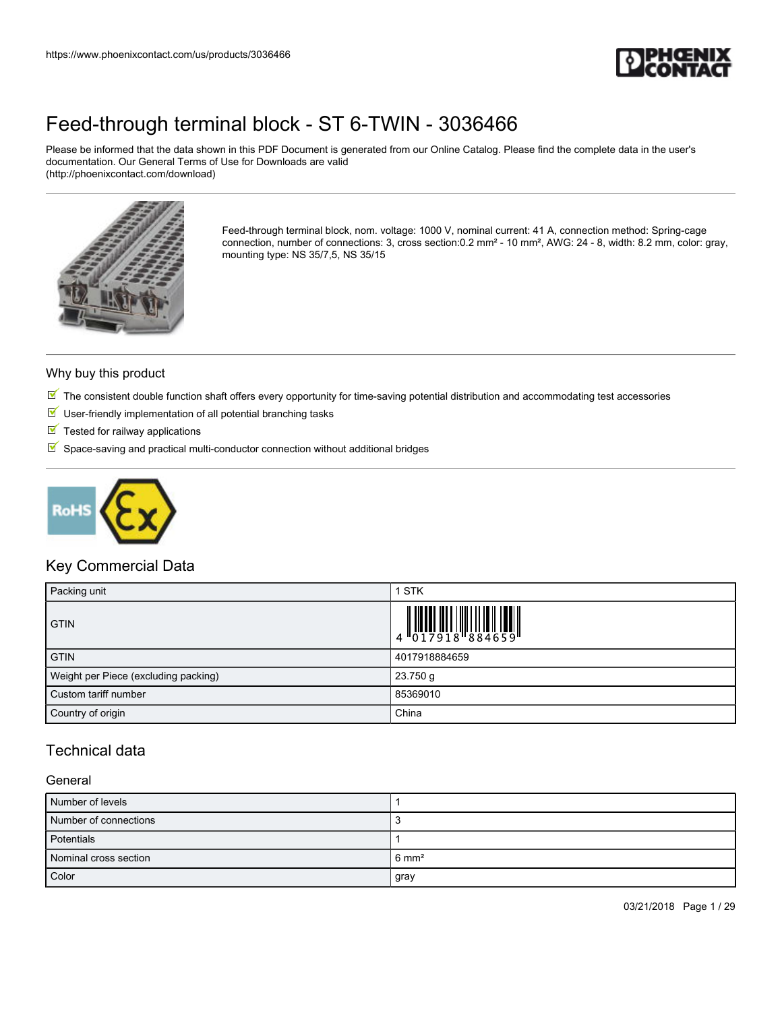

Please be informed that the data shown in this PDF Document is generated from our Online Catalog. Please find the complete data in the user's documentation. Our General Terms of Use for Downloads are valid (http://phoenixcontact.com/download)



Feed-through terminal block, nom. voltage: 1000 V, nominal current: 41 A, connection method: Spring-cage connection, number of connections: 3, cross section:0.2 mm² - 10 mm², AWG: 24 - 8, width: 8.2 mm, color: gray, mounting type: NS 35/7,5, NS 35/15

#### Why buy this product

- $\mathbb N$  The consistent double function shaft offers every opportunity for time-saving potential distribution and accommodating test accessories
- $\blacksquare$  User-friendly implementation of all potential branching tasks
- $\blacksquare$  Tested for railway applications
- $\mathbb S$  Space-saving and practical multi-conductor connection without additional bridges



### Key Commercial Data

| Packing unit                         | <b>STK</b>                                                                                                                                                                                                                                                                                                                |
|--------------------------------------|---------------------------------------------------------------------------------------------------------------------------------------------------------------------------------------------------------------------------------------------------------------------------------------------------------------------------|
| <b>GTIN</b>                          | $\begin{array}{c} 1 & 0 & 0 & 0 & 0 \\ 0 & 0 & 1 & 7 & 9 & 1 & 8 \\ 0 & 0 & 1 & 7 & 9 & 1 & 8 \\ 0 & 0 & 0 & 0 & 0 & 0 \\ 0 & 0 & 0 & 0 & 0 & 0 \\ 0 & 0 & 0 & 0 & 0 & 0 \\ 0 & 0 & 0 & 0 & 0 & 0 \\ 0 & 0 & 0 & 0 & 0 & 0 \\ 0 & 0 & 0 & 0 & 0 & 0 & 0 \\ 0 & 0 & 0 & 0 & 0 & 0 & 0 \\ 0 & 0 & 0 & 0 & 0 & 0 & 0 \\ 0 &$ |
| <b>GTIN</b>                          | 4017918884659                                                                                                                                                                                                                                                                                                             |
| Weight per Piece (excluding packing) | 23.750 g                                                                                                                                                                                                                                                                                                                  |
| Custom tariff number                 | 85369010                                                                                                                                                                                                                                                                                                                  |
| Country of origin                    | China                                                                                                                                                                                                                                                                                                                     |

### Technical data

#### General

| Number of levels      |                  |
|-----------------------|------------------|
| Number of connections |                  |
| Potentials            |                  |
| Nominal cross section | $6 \text{ mm}^2$ |
| Color                 | gray             |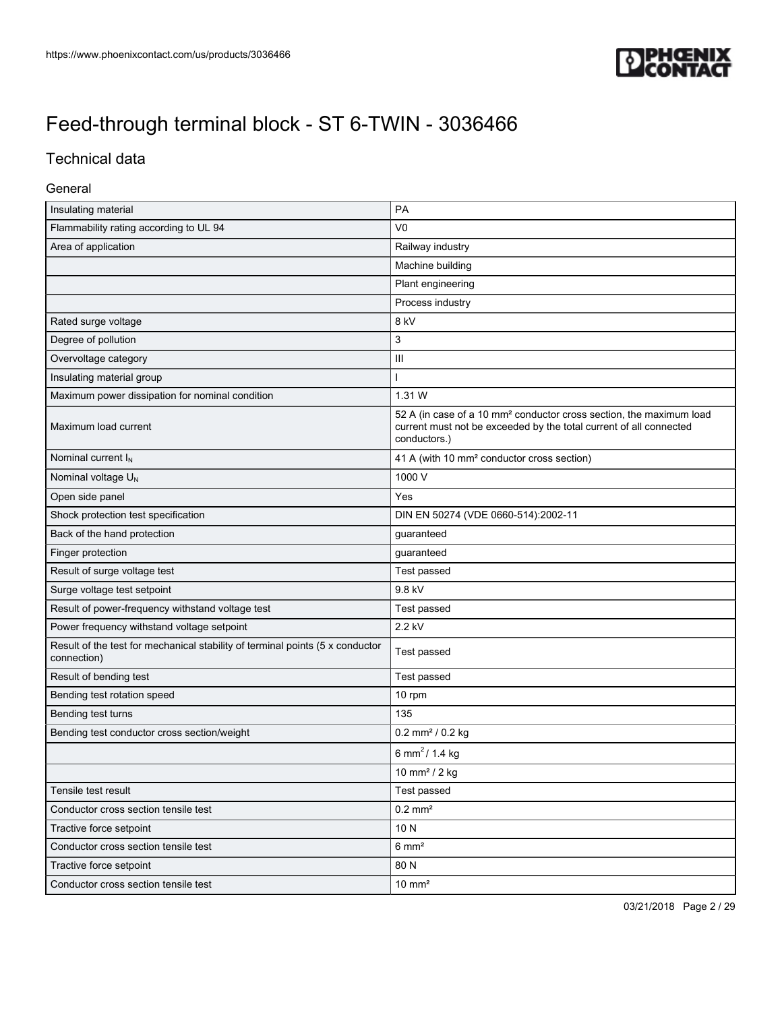

## Technical data

#### General

| Insulating material                                                                          | PA                                                                                                                                                                    |
|----------------------------------------------------------------------------------------------|-----------------------------------------------------------------------------------------------------------------------------------------------------------------------|
| Flammability rating according to UL 94                                                       | V <sub>0</sub>                                                                                                                                                        |
| Area of application                                                                          | Railway industry                                                                                                                                                      |
|                                                                                              | Machine building                                                                                                                                                      |
|                                                                                              | Plant engineering                                                                                                                                                     |
|                                                                                              | Process industry                                                                                                                                                      |
| Rated surge voltage                                                                          | 8 kV                                                                                                                                                                  |
| Degree of pollution                                                                          | 3                                                                                                                                                                     |
| Overvoltage category                                                                         | $\mathbf{III}$                                                                                                                                                        |
| Insulating material group                                                                    |                                                                                                                                                                       |
| Maximum power dissipation for nominal condition                                              | 1.31 W                                                                                                                                                                |
| Maximum load current                                                                         | 52 A (in case of a 10 mm <sup>2</sup> conductor cross section, the maximum load<br>current must not be exceeded by the total current of all connected<br>conductors.) |
| Nominal current I <sub>N</sub>                                                               | 41 A (with 10 mm <sup>2</sup> conductor cross section)                                                                                                                |
| Nominal voltage U <sub>N</sub>                                                               | 1000 V                                                                                                                                                                |
| Open side panel                                                                              | Yes                                                                                                                                                                   |
| Shock protection test specification                                                          | DIN EN 50274 (VDE 0660-514):2002-11                                                                                                                                   |
| Back of the hand protection                                                                  | guaranteed                                                                                                                                                            |
| Finger protection                                                                            | guaranteed                                                                                                                                                            |
| Result of surge voltage test                                                                 | Test passed                                                                                                                                                           |
| Surge voltage test setpoint                                                                  | 9.8 kV                                                                                                                                                                |
| Result of power-frequency withstand voltage test                                             | Test passed                                                                                                                                                           |
| Power frequency withstand voltage setpoint                                                   | 2.2 kV                                                                                                                                                                |
| Result of the test for mechanical stability of terminal points (5 x conductor<br>connection) | Test passed                                                                                                                                                           |
| Result of bending test                                                                       | Test passed                                                                                                                                                           |
| Bending test rotation speed                                                                  | 10 rpm                                                                                                                                                                |
| Bending test turns                                                                           | 135                                                                                                                                                                   |
| Bending test conductor cross section/weight                                                  | $0.2$ mm <sup>2</sup> / $0.2$ kg                                                                                                                                      |
|                                                                                              | 6 mm <sup>2</sup> / 1.4 kg                                                                                                                                            |
|                                                                                              | 10 mm <sup>2</sup> / 2 kg                                                                                                                                             |
| Tensile test result                                                                          | Test passed                                                                                                                                                           |
| Conductor cross section tensile test                                                         | $0.2 \text{ mm}^2$                                                                                                                                                    |
| Tractive force setpoint                                                                      | 10N                                                                                                                                                                   |
| Conductor cross section tensile test                                                         | $6 \text{ mm}^2$                                                                                                                                                      |
| Tractive force setpoint                                                                      | 80 N                                                                                                                                                                  |
| Conductor cross section tensile test                                                         | $10 \text{ mm}^2$                                                                                                                                                     |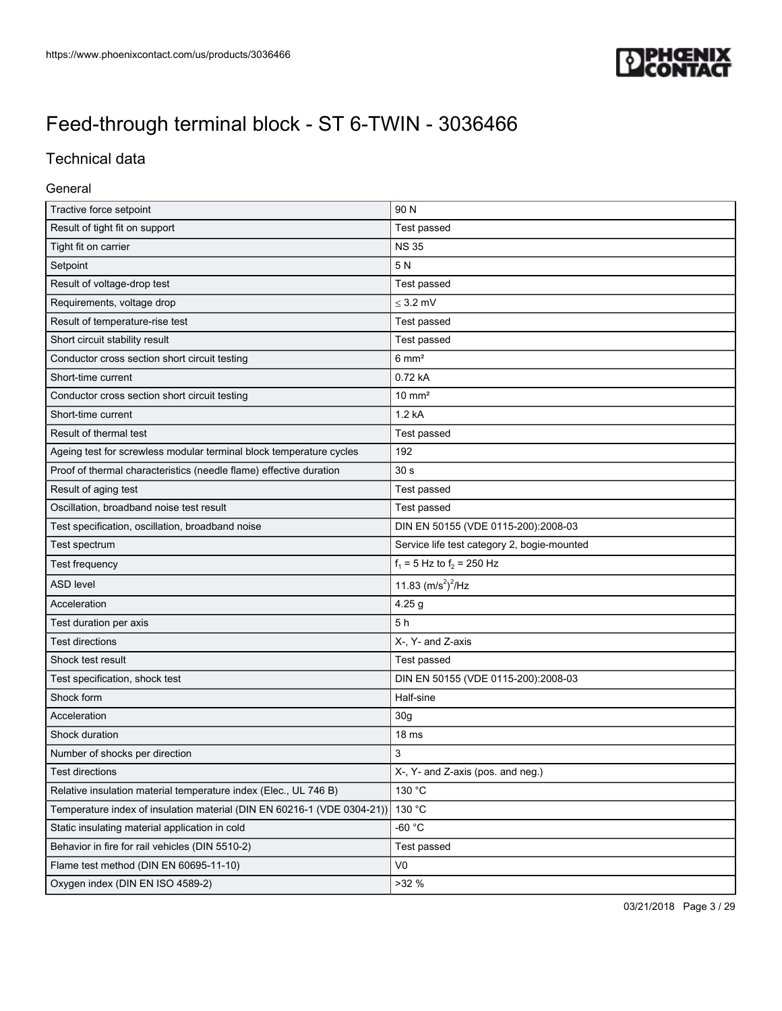

## Technical data

#### General

| Tractive force setpoint                                                 | 90 N                                        |
|-------------------------------------------------------------------------|---------------------------------------------|
| Result of tight fit on support                                          | Test passed                                 |
| Tight fit on carrier                                                    | <b>NS 35</b>                                |
| Setpoint                                                                | 5N                                          |
| Result of voltage-drop test                                             | Test passed                                 |
| Requirements, voltage drop                                              | $\leq$ 3.2 mV                               |
| Result of temperature-rise test                                         | Test passed                                 |
| Short circuit stability result                                          | Test passed                                 |
| Conductor cross section short circuit testing                           | $6 \text{ mm}^2$                            |
| Short-time current                                                      | 0.72 kA                                     |
| Conductor cross section short circuit testing                           | $10 \text{ mm}^2$                           |
| Short-time current                                                      | 1.2 kA                                      |
| Result of thermal test                                                  | Test passed                                 |
| Ageing test for screwless modular terminal block temperature cycles     | 192                                         |
| Proof of thermal characteristics (needle flame) effective duration      | 30 <sub>s</sub>                             |
| Result of aging test                                                    | Test passed                                 |
| Oscillation, broadband noise test result                                | Test passed                                 |
| Test specification, oscillation, broadband noise                        | DIN EN 50155 (VDE 0115-200):2008-03         |
| Test spectrum                                                           | Service life test category 2, bogie-mounted |
| Test frequency                                                          | $f_1 = 5$ Hz to $f_2 = 250$ Hz              |
| <b>ASD level</b>                                                        | 11.83 $(m/s^2)^2$ /Hz                       |
| Acceleration                                                            | 4.25 <sub>g</sub>                           |
| Test duration per axis                                                  | 5h                                          |
| <b>Test directions</b>                                                  | X-, Y- and Z-axis                           |
| Shock test result                                                       | Test passed                                 |
| Test specification, shock test                                          | DIN EN 50155 (VDE 0115-200):2008-03         |
| Shock form                                                              | Half-sine                                   |
| Acceleration                                                            | 30 <sub>g</sub>                             |
| Shock duration                                                          | 18 <sub>ms</sub>                            |
| Number of shocks per direction                                          | 3                                           |
| Test directions                                                         | X-, Y- and Z-axis (pos. and neg.)           |
| Relative insulation material temperature index (Elec., UL 746 B)        | 130 °C                                      |
| Temperature index of insulation material (DIN EN 60216-1 (VDE 0304-21)) | 130 °C                                      |
| Static insulating material application in cold                          | -60 $^{\circ}$ C                            |
| Behavior in fire for rail vehicles (DIN 5510-2)                         | Test passed                                 |
| Flame test method (DIN EN 60695-11-10)                                  | V0                                          |
| Oxygen index (DIN EN ISO 4589-2)                                        | >32%                                        |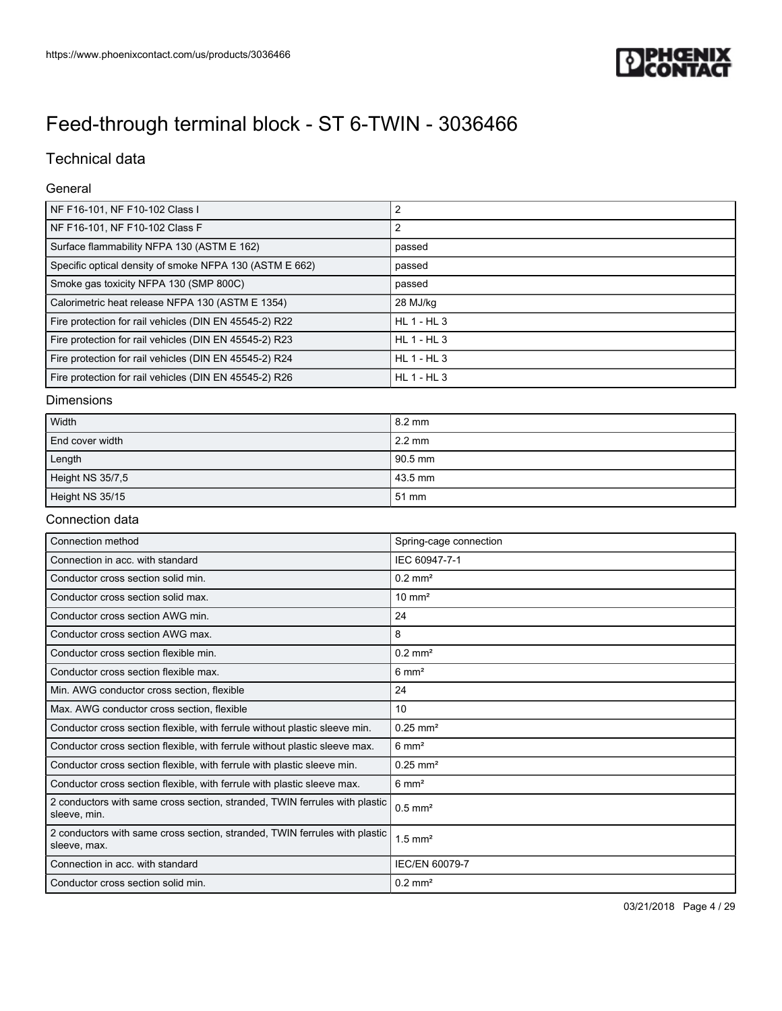

## Technical data

#### General

| NF F16-101, NF F10-102 Class I                          | $\overline{2}$  |
|---------------------------------------------------------|-----------------|
| NF F16-101, NF F10-102 Class F                          | っ               |
| Surface flammability NFPA 130 (ASTM E 162)              | passed          |
| Specific optical density of smoke NFPA 130 (ASTM E 662) | passed          |
| Smoke gas toxicity NFPA 130 (SMP 800C)                  | passed          |
| Calorimetric heat release NFPA 130 (ASTM E 1354)        | 28 MJ/kg        |
| Fire protection for rail vehicles (DIN EN 45545-2) R22  | $HL$ 1 - $HL$ 3 |
| Fire protection for rail vehicles (DIN EN 45545-2) R23  | $HL$ 1 - $HL$ 3 |
| Fire protection for rail vehicles (DIN EN 45545-2) R24  | $HL$ 1 - $HL$ 3 |
| Fire protection for rail vehicles (DIN EN 45545-2) R26  | $HL$ 1 - $HL$ 3 |

#### Dimensions

| Width            | 8.2 mm           |
|------------------|------------------|
| End cover width  | $2.2 \text{ mm}$ |
| Length           | 90.5 mm          |
| Height NS 35/7,5 | 43.5 mm          |
| Height NS 35/15  | 51 mm            |

#### Connection data

| Connection method                                                                          | Spring-cage connection |
|--------------------------------------------------------------------------------------------|------------------------|
| Connection in acc. with standard                                                           | IEC 60947-7-1          |
| Conductor cross section solid min.                                                         | $0.2$ mm <sup>2</sup>  |
| Conductor cross section solid max.                                                         | $10 \text{ mm}^2$      |
| Conductor cross section AWG min.                                                           | 24                     |
| Conductor cross section AWG max.                                                           | 8                      |
| Conductor cross section flexible min.                                                      | $0.2$ mm <sup>2</sup>  |
| Conductor cross section flexible max.                                                      | $6 \text{ mm}^2$       |
| Min. AWG conductor cross section, flexible                                                 | 24                     |
| Max. AWG conductor cross section, flexible                                                 | 10                     |
| Conductor cross section flexible, with ferrule without plastic sleeve min.                 | $0.25$ mm <sup>2</sup> |
| Conductor cross section flexible, with ferrule without plastic sleeve max.                 | $6 \text{ mm}^2$       |
| Conductor cross section flexible, with ferrule with plastic sleeve min.                    | $0.25$ mm <sup>2</sup> |
| Conductor cross section flexible, with ferrule with plastic sleeve max.                    | $6 \text{ mm}^2$       |
| 2 conductors with same cross section, stranded, TWIN ferrules with plastic<br>sleeve, min. | $0.5$ mm <sup>2</sup>  |
| 2 conductors with same cross section, stranded, TWIN ferrules with plastic<br>sleeve, max. | $1.5$ mm <sup>2</sup>  |
| Connection in acc. with standard                                                           | <b>IEC/EN 60079-7</b>  |
| Conductor cross section solid min.                                                         | $0.2$ mm <sup>2</sup>  |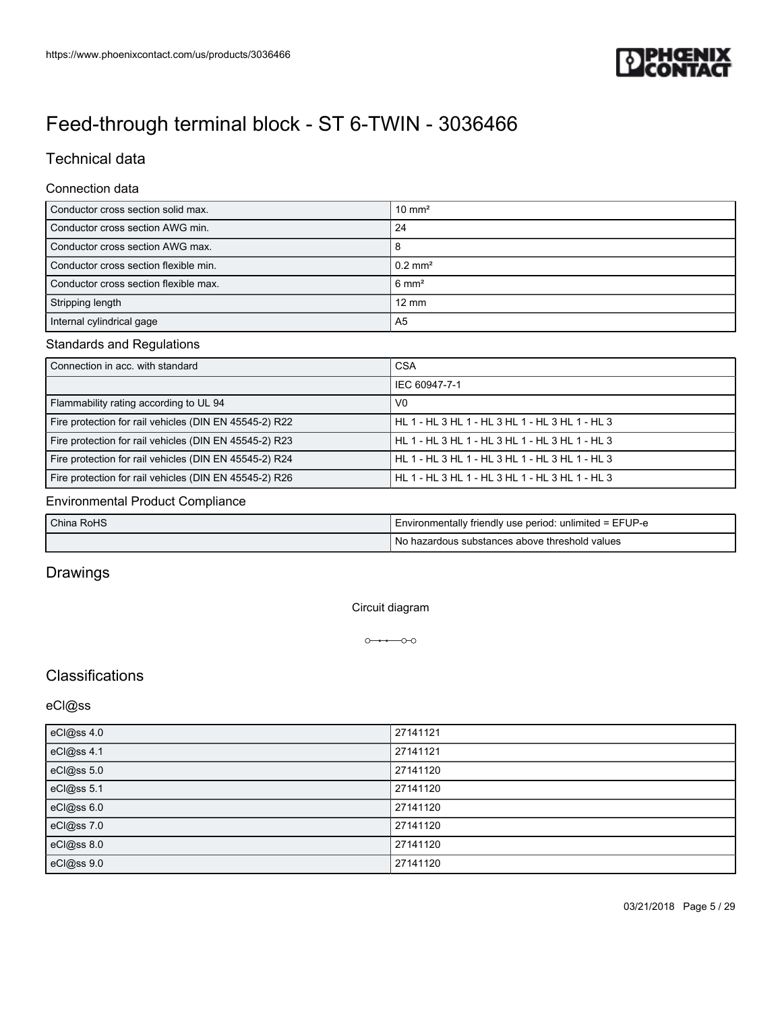

## Technical data

#### Connection data

| Conductor cross section solid max.    | $10 \text{ mm}^2$  |
|---------------------------------------|--------------------|
| Conductor cross section AWG min.      | 24                 |
| Conductor cross section AWG max.      | 8                  |
| Conductor cross section flexible min. | $0.2 \text{ mm}^2$ |
| Conductor cross section flexible max. | $6 \text{ mm}^2$   |
| Stripping length                      | $12 \text{ mm}$    |
| Internal cylindrical gage             | A <sub>5</sub>     |

#### Standards and Regulations

| Connection in acc. with standard                       | <b>CSA</b>                                      |
|--------------------------------------------------------|-------------------------------------------------|
|                                                        | IEC 60947-7-1                                   |
| Flammability rating according to UL 94                 | V <sub>0</sub>                                  |
| Fire protection for rail vehicles (DIN EN 45545-2) R22 | HL 1 - HL 3 HL 1 - HL 3 HL 1 - HL 3 HL 1 - HL 3 |
| Fire protection for rail vehicles (DIN EN 45545-2) R23 | HL 1 - HL 3 HL 1 - HL 3 HL 1 - HL 3 HL 1 - HL 3 |
| Fire protection for rail vehicles (DIN EN 45545-2) R24 | HL 1 - HL 3 HL 1 - HL 3 HL 1 - HL 3 HL 1 - HL 3 |
| Fire protection for rail vehicles (DIN EN 45545-2) R26 | HL 1 - HL 3 HL 1 - HL 3 HL 1 - HL 3 HL 1 - HL 3 |

#### Environmental Product Compliance

| China RoHS | I Environmentally friendly use period: unlimited = EFUP-e |
|------------|-----------------------------------------------------------|
|            | No hazardous substances above threshold values            |

## Drawings

Circuit diagram

 $0 \rightarrow 0$ 

### **Classifications**

### eCl@ss

| eCl@ss 4.0 | 27141121 |
|------------|----------|
| eCl@ss 4.1 | 27141121 |
| eCl@ss 5.0 | 27141120 |
| eCl@ss 5.1 | 27141120 |
| eCl@ss 6.0 | 27141120 |
| eCl@ss 7.0 | 27141120 |
| eCl@ss 8.0 | 27141120 |
| eCl@ss 9.0 | 27141120 |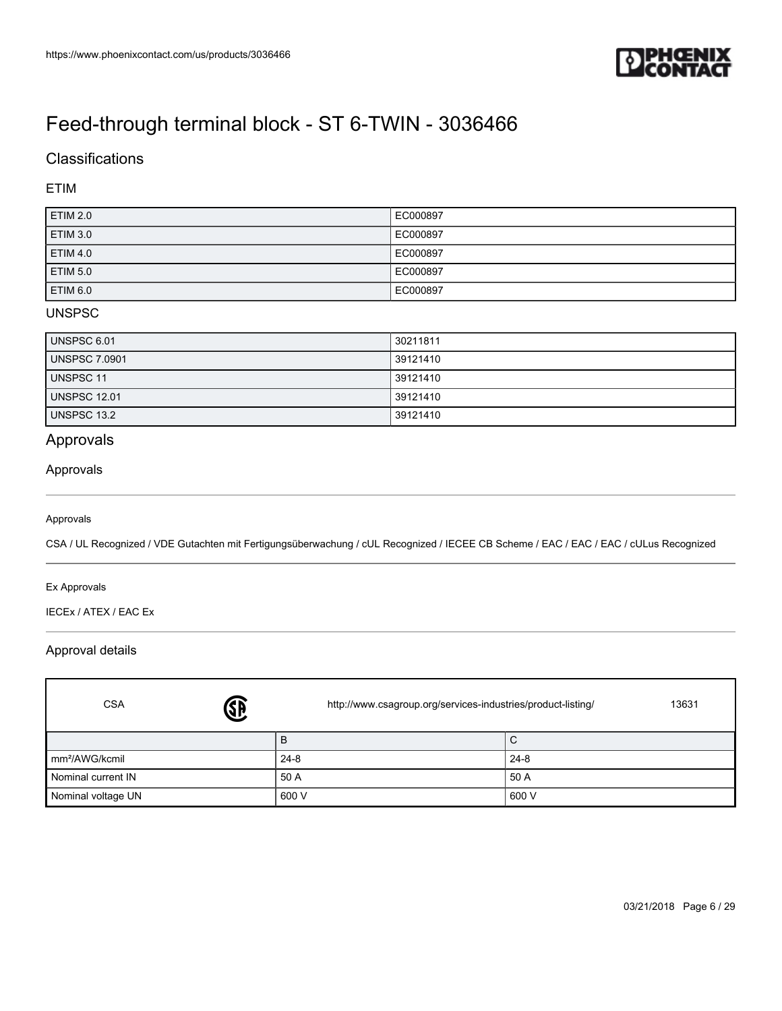

## **Classifications**

### ETIM

| ETIM 2.0        | EC000897 |
|-----------------|----------|
| ETIM 3.0        | EC000897 |
| ETIM 4.0        | EC000897 |
| <b>ETIM 5.0</b> | EC000897 |
| <b>ETIM 6.0</b> | EC000897 |

#### UNSPSC

| <b>UNSPSC 6.01</b>   | 30211811 |
|----------------------|----------|
| <b>UNSPSC 7.0901</b> | 39121410 |
| <b>UNSPSC 11</b>     | 39121410 |
| <b>UNSPSC 12.01</b>  | 39121410 |
| UNSPSC 13.2          | 39121410 |

### Approvals

#### Approvals

#### Approvals

CSA / UL Recognized / VDE Gutachten mit Fertigungsüberwachung / cUL Recognized / IECEE CB Scheme / EAC / EAC / EAC / cULus Recognized

#### Ex Approvals

Г

IECEx / ATEX / EAC Ex

#### Approval details

| <b>SB</b><br><b>CSA</b>    | http://www.csagroup.org/services-industries/product-listing/<br>13631 |          |
|----------------------------|-----------------------------------------------------------------------|----------|
|                            | B                                                                     | C        |
| mm <sup>2</sup> /AWG/kcmil | $24 - 8$                                                              | $24 - 8$ |
| Nominal current IN         | 50 A                                                                  | 50 A     |
| Nominal voltage UN         | 600 V                                                                 | 600 V    |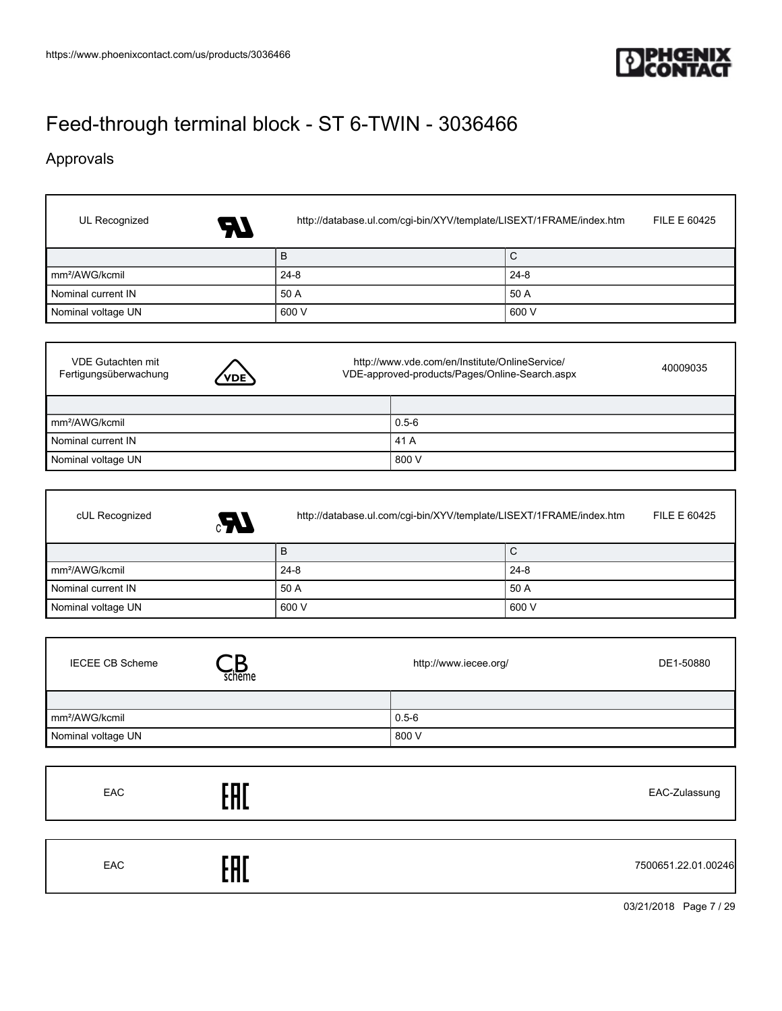

٦

٦

٦

# [Feed-through terminal block - ST 6-TWIN - 3036466](https://www.phoenixcontact.com/us/products/3036466)

## Approvals

 $\Gamma$ 

I

Г

Г

| UL Recognized<br>AT T      | http://database.ul.com/cgi-bin/XYV/template/LISEXT/1FRAME/index.htm<br>FILE E 60425 |          |  |
|----------------------------|-------------------------------------------------------------------------------------|----------|--|
|                            | B                                                                                   | l C      |  |
| mm <sup>2</sup> /AWG/kcmil | 24-8                                                                                | $24 - 8$ |  |
| Nominal current IN         | 50 A                                                                                | 50 A     |  |
| Nominal voltage UN         | 600 V                                                                               | 600 V    |  |

| <b>VDE Gutachten mit</b><br>Fertigungsüberwachung | <b>VDE</b> | http://www.vde.com/en/Institute/OnlineService/<br>VDE-approved-products/Pages/Online-Search.aspx |           | 40009035 |
|---------------------------------------------------|------------|--------------------------------------------------------------------------------------------------|-----------|----------|
|                                                   |            |                                                                                                  |           |          |
| mm <sup>2</sup> /AWG/kcmil                        |            |                                                                                                  | $0.5 - 6$ |          |
| Nominal current IN                                |            |                                                                                                  | 41 A      |          |
| Nominal voltage UN                                |            |                                                                                                  | 800 V     |          |

| cUL Recognized<br>Æ,       | FILE E 60425<br>http://database.ul.com/cgi-bin/XYV/template/LISEXT/1FRAME/index.htm |          |  |
|----------------------------|-------------------------------------------------------------------------------------|----------|--|
|                            | B                                                                                   | С        |  |
| mm <sup>2</sup> /AWG/kcmil | $24 - 8$                                                                            | $24 - 8$ |  |
| Nominal current IN         | 50 A                                                                                | 50 A     |  |
| Nominal voltage UN         | 600 V                                                                               | 600 V    |  |

| <b>IECEE CB Scheme</b>     | scheme | http://www.iecee.org/ | DE1-50880 |
|----------------------------|--------|-----------------------|-----------|
|                            |        |                       |           |
| mm <sup>2</sup> /AWG/kcmil |        | $0.5 - 6$             |           |
| Nominal voltage UN         |        | 800 V                 |           |

| EAC | rnr<br> | EAC-Zulassung       |
|-----|---------|---------------------|
| EAC | гпг     | 7500651.22.01.00246 |

03/21/2018 Page 7 / 29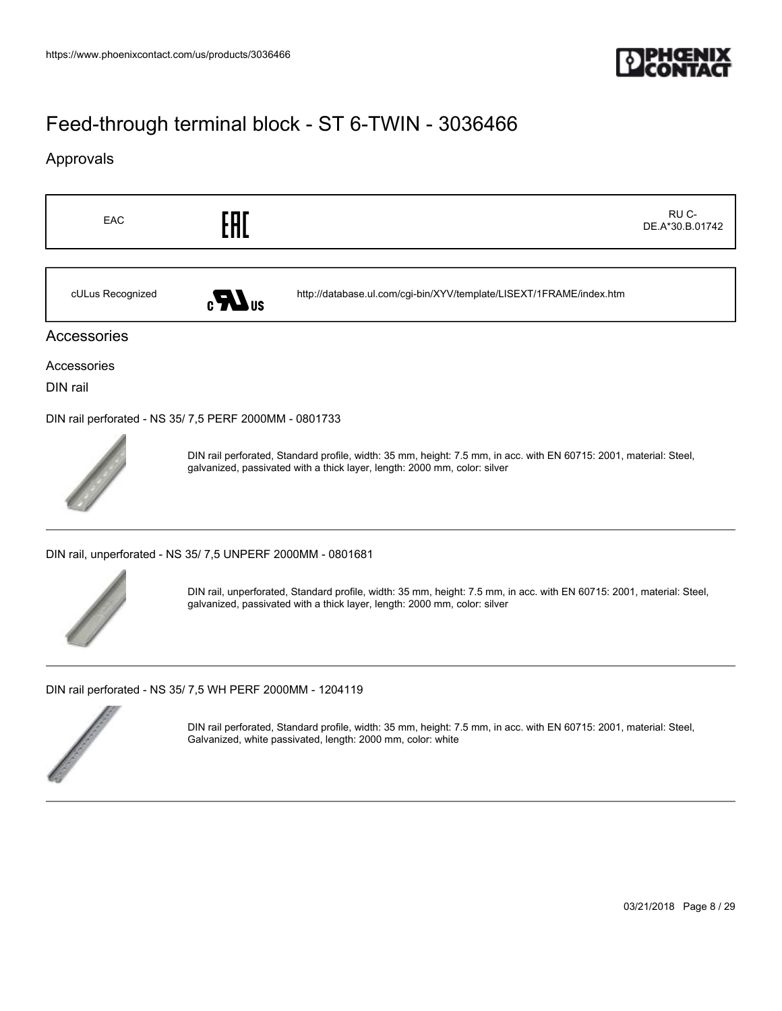

### Approvals

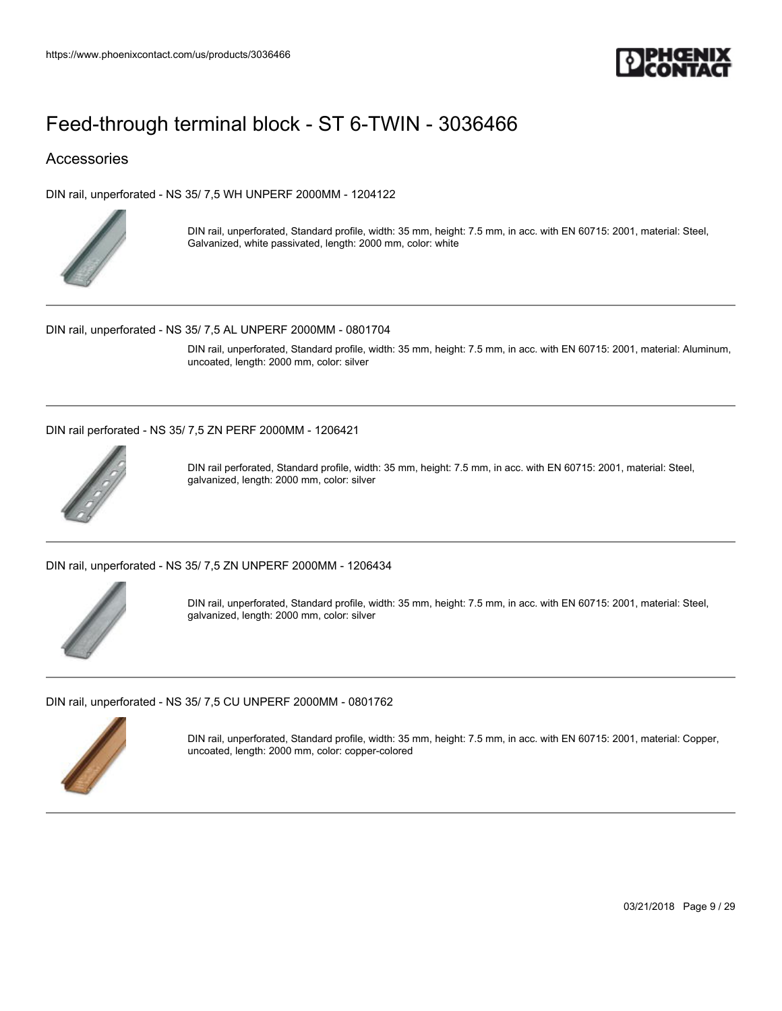

### Accessories

[DIN rail, unperforated - NS 35/ 7,5 WH UNPERF 2000MM - 1204122](https://www.phoenixcontact.com/us/products/1204122)



DIN rail, unperforated, Standard profile, width: 35 mm, height: 7.5 mm, in acc. with EN 60715: 2001, material: Steel, Galvanized, white passivated, length: 2000 mm, color: white

[DIN rail, unperforated - NS 35/ 7,5 AL UNPERF 2000MM - 0801704](https://www.phoenixcontact.com/us/products/0801704)

DIN rail, unperforated, Standard profile, width: 35 mm, height: 7.5 mm, in acc. with EN 60715: 2001, material: Aluminum, uncoated, length: 2000 mm, color: silver

[DIN rail perforated - NS 35/ 7,5 ZN PERF 2000MM - 1206421](https://www.phoenixcontact.com/us/products/1206421)



DIN rail perforated, Standard profile, width: 35 mm, height: 7.5 mm, in acc. with EN 60715: 2001, material: Steel, galvanized, length: 2000 mm, color: silver

[DIN rail, unperforated - NS 35/ 7,5 ZN UNPERF 2000MM - 1206434](https://www.phoenixcontact.com/us/products/1206434)



DIN rail, unperforated, Standard profile, width: 35 mm, height: 7.5 mm, in acc. with EN 60715: 2001, material: Steel, galvanized, length: 2000 mm, color: silver

[DIN rail, unperforated - NS 35/ 7,5 CU UNPERF 2000MM - 0801762](https://www.phoenixcontact.com/us/products/0801762)



DIN rail, unperforated, Standard profile, width: 35 mm, height: 7.5 mm, in acc. with EN 60715: 2001, material: Copper, uncoated, length: 2000 mm, color: copper-colored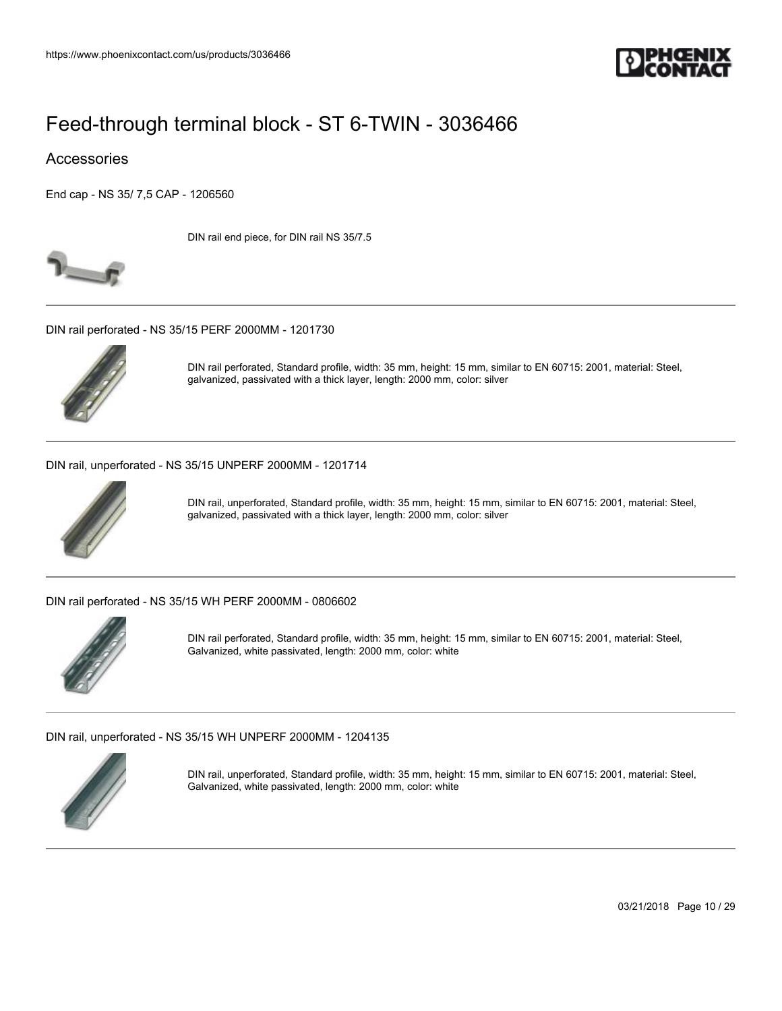

### Accessories

[End cap - NS 35/ 7,5 CAP - 1206560](https://www.phoenixcontact.com/us/products/1206560)

DIN rail end piece, for DIN rail NS 35/7.5



[DIN rail perforated - NS 35/15 PERF 2000MM - 1201730](https://www.phoenixcontact.com/us/products/1201730)



DIN rail perforated, Standard profile, width: 35 mm, height: 15 mm, similar to EN 60715: 2001, material: Steel, galvanized, passivated with a thick layer, length: 2000 mm, color: silver

[DIN rail, unperforated - NS 35/15 UNPERF 2000MM - 1201714](https://www.phoenixcontact.com/us/products/1201714)



DIN rail, unperforated, Standard profile, width: 35 mm, height: 15 mm, similar to EN 60715: 2001, material: Steel, galvanized, passivated with a thick layer, length: 2000 mm, color: silver

[DIN rail perforated - NS 35/15 WH PERF 2000MM - 0806602](https://www.phoenixcontact.com/us/products/0806602)



DIN rail perforated, Standard profile, width: 35 mm, height: 15 mm, similar to EN 60715: 2001, material: Steel, Galvanized, white passivated, length: 2000 mm, color: white

[DIN rail, unperforated - NS 35/15 WH UNPERF 2000MM - 1204135](https://www.phoenixcontact.com/us/products/1204135)



DIN rail, unperforated, Standard profile, width: 35 mm, height: 15 mm, similar to EN 60715: 2001, material: Steel, Galvanized, white passivated, length: 2000 mm, color: white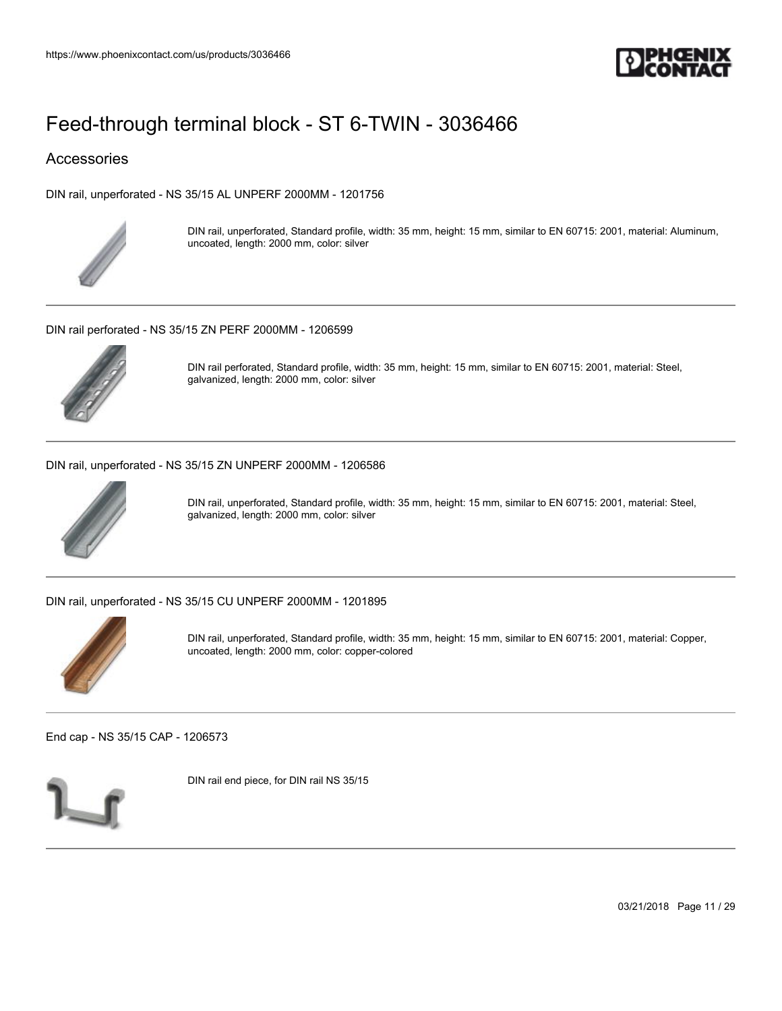

### Accessories

[DIN rail, unperforated - NS 35/15 AL UNPERF 2000MM - 1201756](https://www.phoenixcontact.com/us/products/1201756)



DIN rail, unperforated, Standard profile, width: 35 mm, height: 15 mm, similar to EN 60715: 2001, material: Aluminum, uncoated, length: 2000 mm, color: silver

[DIN rail perforated - NS 35/15 ZN PERF 2000MM - 1206599](https://www.phoenixcontact.com/us/products/1206599)



DIN rail perforated, Standard profile, width: 35 mm, height: 15 mm, similar to EN 60715: 2001, material: Steel, galvanized, length: 2000 mm, color: silver

[DIN rail, unperforated - NS 35/15 ZN UNPERF 2000MM - 1206586](https://www.phoenixcontact.com/us/products/1206586)



DIN rail, unperforated, Standard profile, width: 35 mm, height: 15 mm, similar to EN 60715: 2001, material: Steel, galvanized, length: 2000 mm, color: silver

[DIN rail, unperforated - NS 35/15 CU UNPERF 2000MM - 1201895](https://www.phoenixcontact.com/us/products/1201895)



DIN rail, unperforated, Standard profile, width: 35 mm, height: 15 mm, similar to EN 60715: 2001, material: Copper, uncoated, length: 2000 mm, color: copper-colored

[End cap - NS 35/15 CAP - 1206573](https://www.phoenixcontact.com/us/products/1206573)



DIN rail end piece, for DIN rail NS 35/15

03/21/2018 Page 11 / 29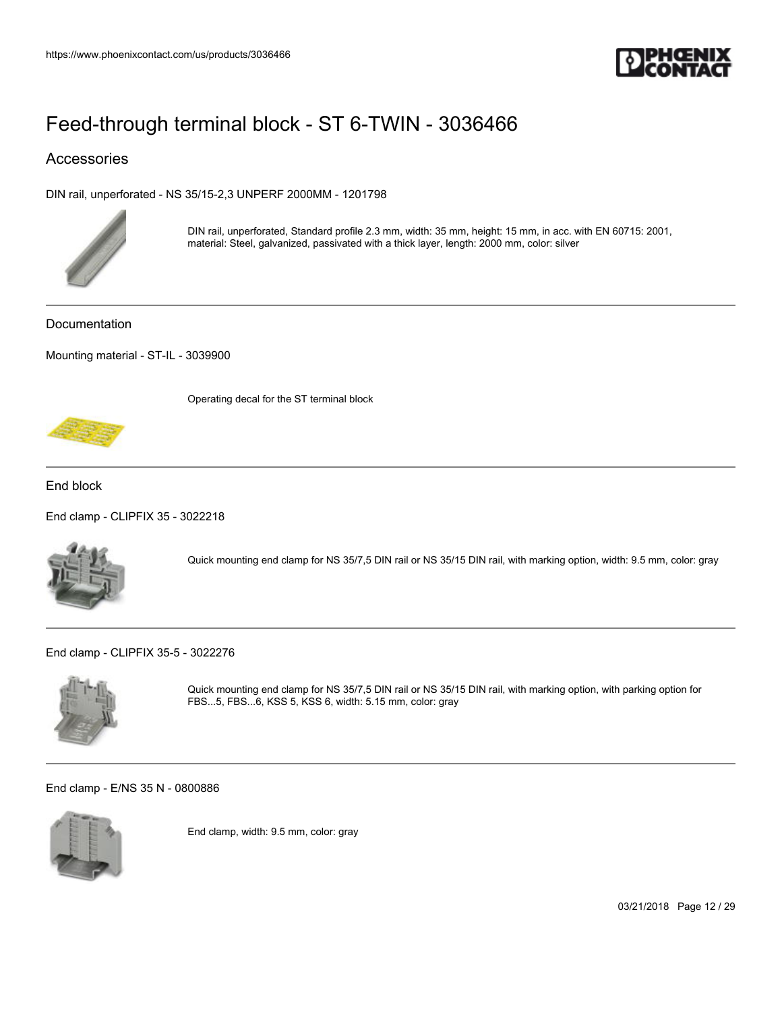

### Accessories

[DIN rail, unperforated - NS 35/15-2,3 UNPERF 2000MM - 1201798](https://www.phoenixcontact.com/us/products/1201798)



DIN rail, unperforated, Standard profile 2.3 mm, width: 35 mm, height: 15 mm, in acc. with EN 60715: 2001, material: Steel, galvanized, passivated with a thick layer, length: 2000 mm, color: silver

Documentation

[Mounting material - ST-IL - 3039900](https://www.phoenixcontact.com/us/products/3039900)

Operating decal for the ST terminal block



End block

[End clamp - CLIPFIX 35 - 3022218](https://www.phoenixcontact.com/us/products/3022218)



Quick mounting end clamp for NS 35/7,5 DIN rail or NS 35/15 DIN rail, with marking option, width: 9.5 mm, color: gray

[End clamp - CLIPFIX 35-5 - 3022276](https://www.phoenixcontact.com/us/products/3022276)



Quick mounting end clamp for NS 35/7,5 DIN rail or NS 35/15 DIN rail, with marking option, with parking option for FBS...5, FBS...6, KSS 5, KSS 6, width: 5.15 mm, color: gray

[End clamp - E/NS 35 N - 0800886](https://www.phoenixcontact.com/us/products/0800886)



End clamp, width: 9.5 mm, color: gray

03/21/2018 Page 12 / 29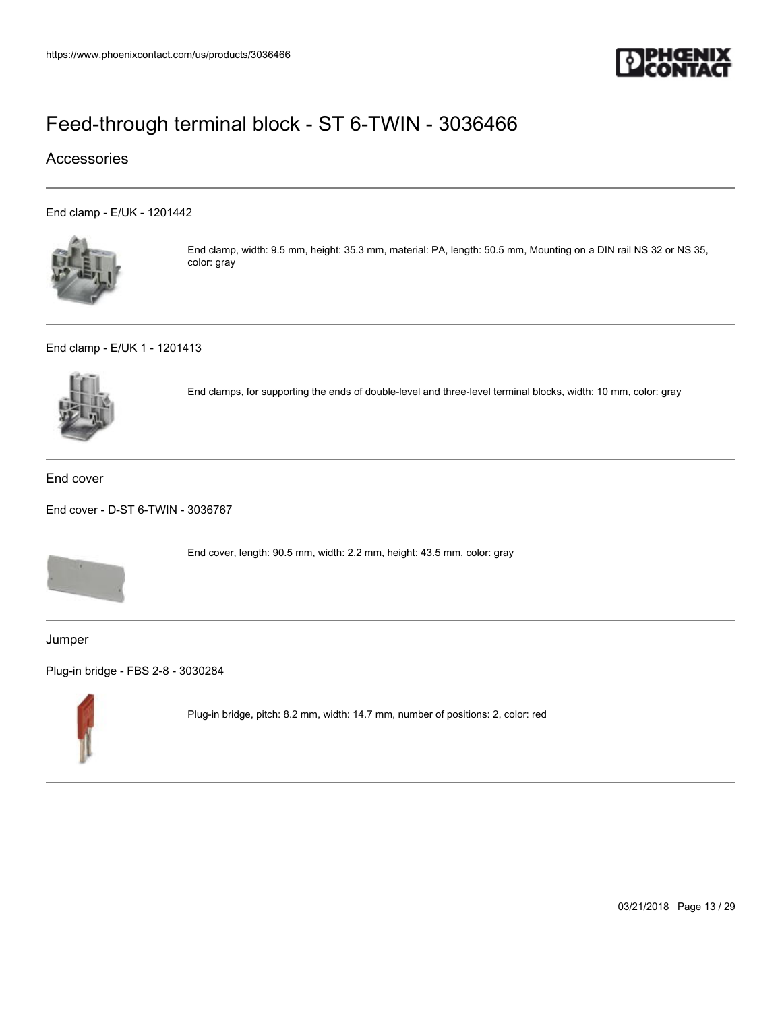

### Accessories

[End clamp - E/UK - 1201442](https://www.phoenixcontact.com/us/products/1201442)



End clamp, width: 9.5 mm, height: 35.3 mm, material: PA, length: 50.5 mm, Mounting on a DIN rail NS 32 or NS 35, color: gray

[End clamp - E/UK 1 - 1201413](https://www.phoenixcontact.com/us/products/1201413)



End clamps, for supporting the ends of double-level and three-level terminal blocks, width: 10 mm, color: gray

#### End cover

[End cover - D-ST 6-TWIN - 3036767](https://www.phoenixcontact.com/us/products/3036767)



End cover, length: 90.5 mm, width: 2.2 mm, height: 43.5 mm, color: gray

Jumper

[Plug-in bridge - FBS 2-8 - 3030284](https://www.phoenixcontact.com/us/products/3030284)



Plug-in bridge, pitch: 8.2 mm, width: 14.7 mm, number of positions: 2, color: red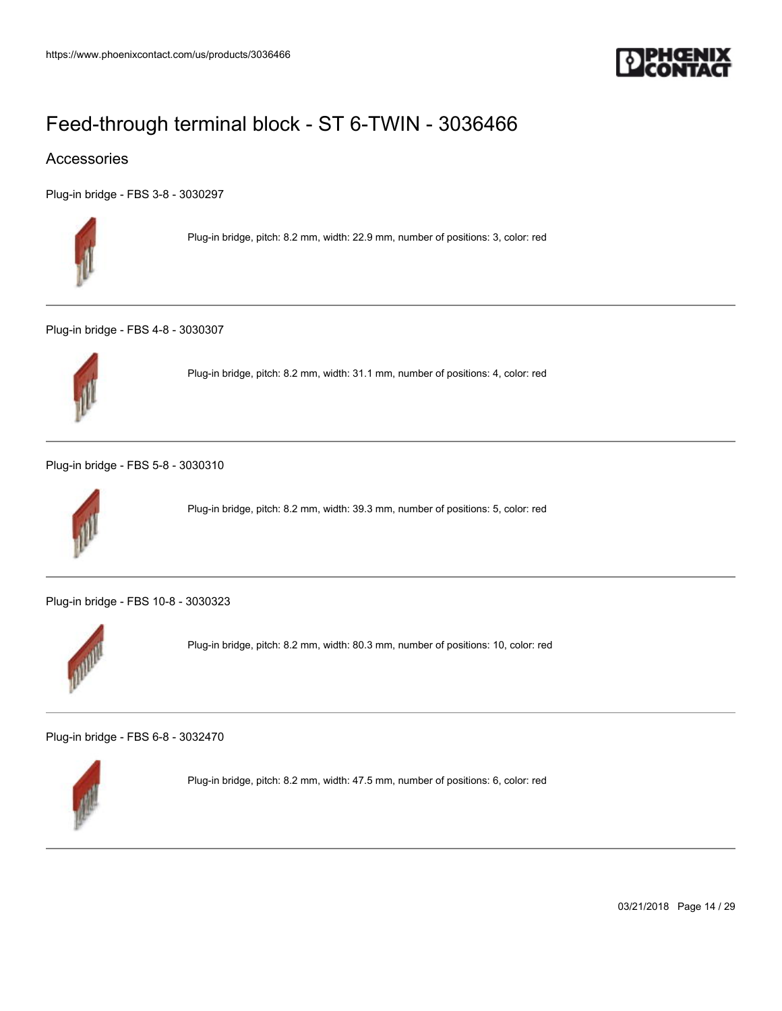

### Accessories

[Plug-in bridge - FBS 3-8 - 3030297](https://www.phoenixcontact.com/us/products/3030297)



Plug-in bridge, pitch: 8.2 mm, width: 22.9 mm, number of positions: 3, color: red

[Plug-in bridge - FBS 4-8 - 3030307](https://www.phoenixcontact.com/us/products/3030307)



Plug-in bridge, pitch: 8.2 mm, width: 31.1 mm, number of positions: 4, color: red

[Plug-in bridge - FBS 5-8 - 3030310](https://www.phoenixcontact.com/us/products/3030310)



Plug-in bridge, pitch: 8.2 mm, width: 39.3 mm, number of positions: 5, color: red

[Plug-in bridge - FBS 10-8 - 3030323](https://www.phoenixcontact.com/us/products/3030323)



Plug-in bridge, pitch: 8.2 mm, width: 80.3 mm, number of positions: 10, color: red

[Plug-in bridge - FBS 6-8 - 3032470](https://www.phoenixcontact.com/us/products/3032470)



Plug-in bridge, pitch: 8.2 mm, width: 47.5 mm, number of positions: 6, color: red

03/21/2018 Page 14 / 29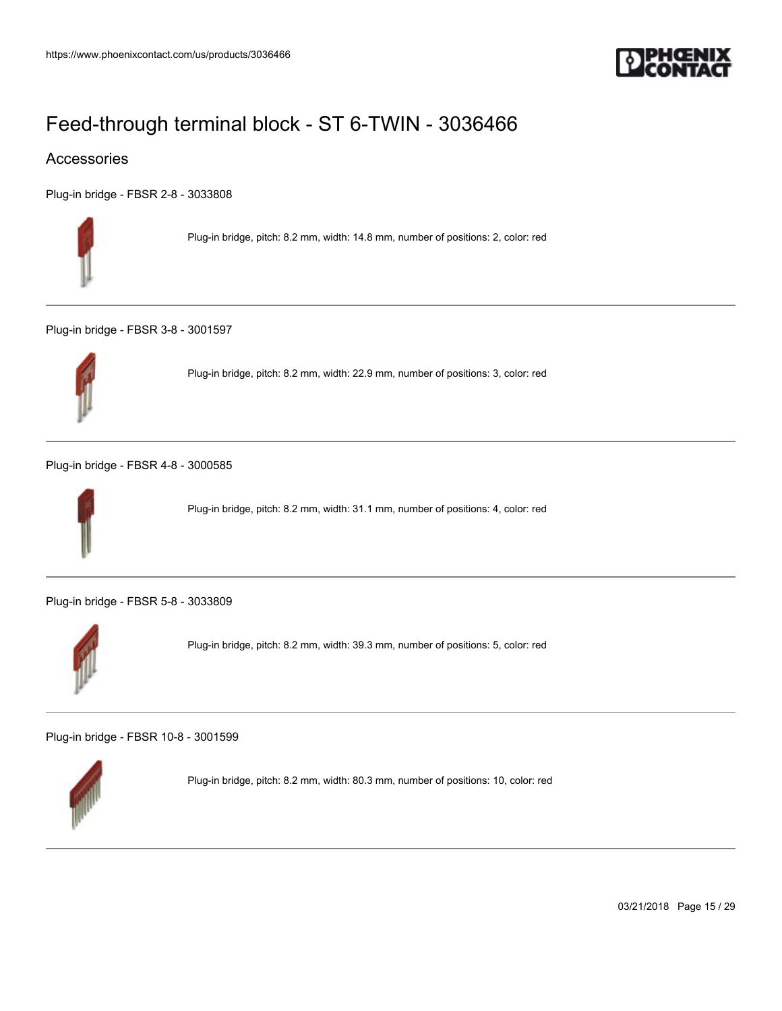

### Accessories

[Plug-in bridge - FBSR 2-8 - 3033808](https://www.phoenixcontact.com/us/products/3033808)



Plug-in bridge, pitch: 8.2 mm, width: 14.8 mm, number of positions: 2, color: red

[Plug-in bridge - FBSR 3-8 - 3001597](https://www.phoenixcontact.com/us/products/3001597)



Plug-in bridge, pitch: 8.2 mm, width: 22.9 mm, number of positions: 3, color: red

[Plug-in bridge - FBSR 4-8 - 3000585](https://www.phoenixcontact.com/us/products/3000585)



Plug-in bridge, pitch: 8.2 mm, width: 31.1 mm, number of positions: 4, color: red

[Plug-in bridge - FBSR 5-8 - 3033809](https://www.phoenixcontact.com/us/products/3033809)



Plug-in bridge, pitch: 8.2 mm, width: 39.3 mm, number of positions: 5, color: red

[Plug-in bridge - FBSR 10-8 - 3001599](https://www.phoenixcontact.com/us/products/3001599)



Plug-in bridge, pitch: 8.2 mm, width: 80.3 mm, number of positions: 10, color: red

03/21/2018 Page 15 / 29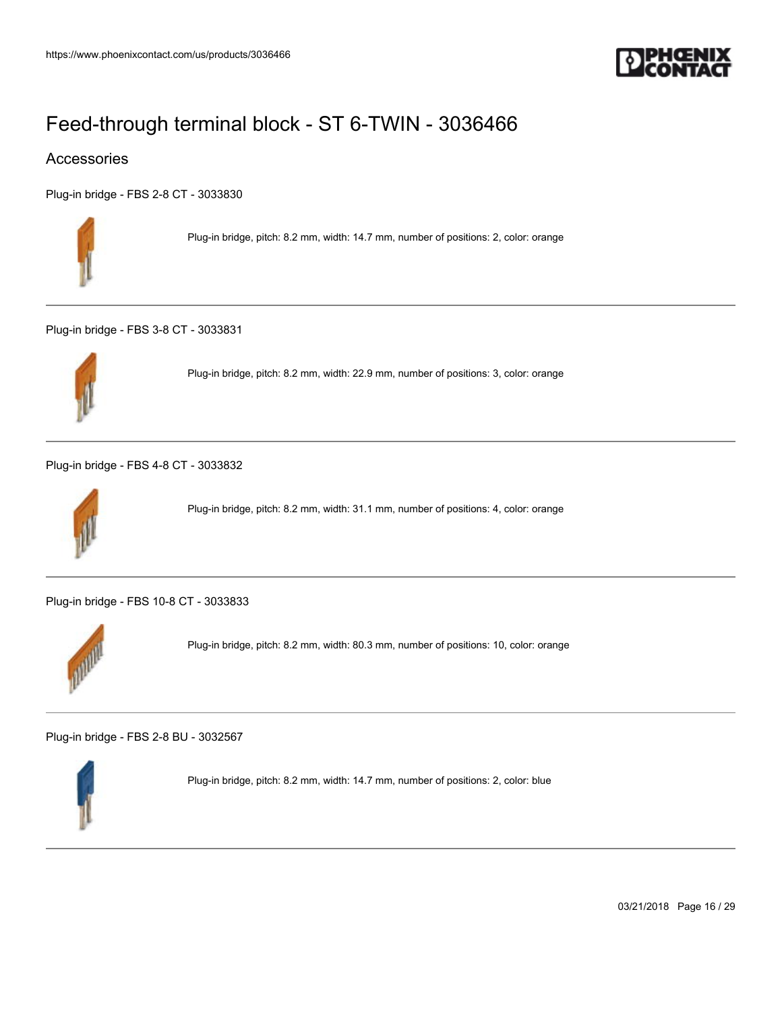

### Accessories

[Plug-in bridge - FBS 2-8 CT - 3033830](https://www.phoenixcontact.com/us/products/3033830)



Plug-in bridge, pitch: 8.2 mm, width: 14.7 mm, number of positions: 2, color: orange

[Plug-in bridge - FBS 3-8 CT - 3033831](https://www.phoenixcontact.com/us/products/3033831)



Plug-in bridge, pitch: 8.2 mm, width: 22.9 mm, number of positions: 3, color: orange

[Plug-in bridge - FBS 4-8 CT - 3033832](https://www.phoenixcontact.com/us/products/3033832)



Plug-in bridge, pitch: 8.2 mm, width: 31.1 mm, number of positions: 4, color: orange

[Plug-in bridge - FBS 10-8 CT - 3033833](https://www.phoenixcontact.com/us/products/3033833)



Plug-in bridge, pitch: 8.2 mm, width: 80.3 mm, number of positions: 10, color: orange

[Plug-in bridge - FBS 2-8 BU - 3032567](https://www.phoenixcontact.com/us/products/3032567)



Plug-in bridge, pitch: 8.2 mm, width: 14.7 mm, number of positions: 2, color: blue

03/21/2018 Page 16 / 29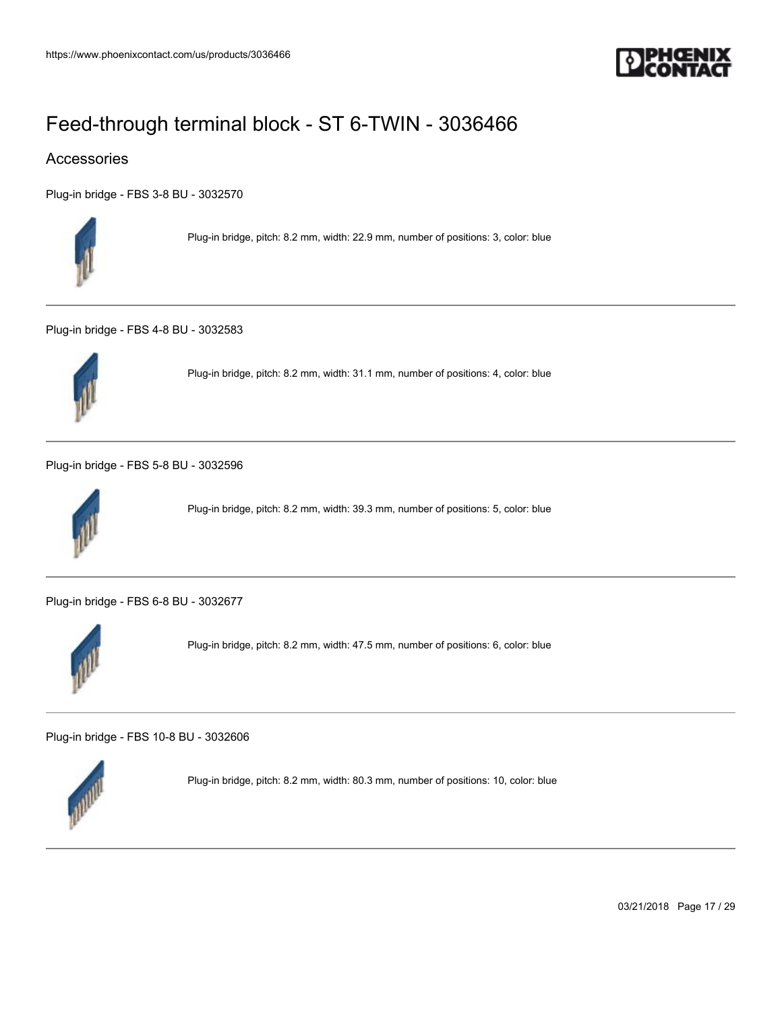

### Accessories

[Plug-in bridge - FBS 3-8 BU - 3032570](https://www.phoenixcontact.com/us/products/3032570)



Plug-in bridge, pitch: 8.2 mm, width: 22.9 mm, number of positions: 3, color: blue

[Plug-in bridge - FBS 4-8 BU - 3032583](https://www.phoenixcontact.com/us/products/3032583)



Plug-in bridge, pitch: 8.2 mm, width: 31.1 mm, number of positions: 4, color: blue

[Plug-in bridge - FBS 5-8 BU - 3032596](https://www.phoenixcontact.com/us/products/3032596)



Plug-in bridge, pitch: 8.2 mm, width: 39.3 mm, number of positions: 5, color: blue

[Plug-in bridge - FBS 6-8 BU - 3032677](https://www.phoenixcontact.com/us/products/3032677)



Plug-in bridge, pitch: 8.2 mm, width: 47.5 mm, number of positions: 6, color: blue

[Plug-in bridge - FBS 10-8 BU - 3032606](https://www.phoenixcontact.com/us/products/3032606)



Plug-in bridge, pitch: 8.2 mm, width: 80.3 mm, number of positions: 10, color: blue

03/21/2018 Page 17 / 29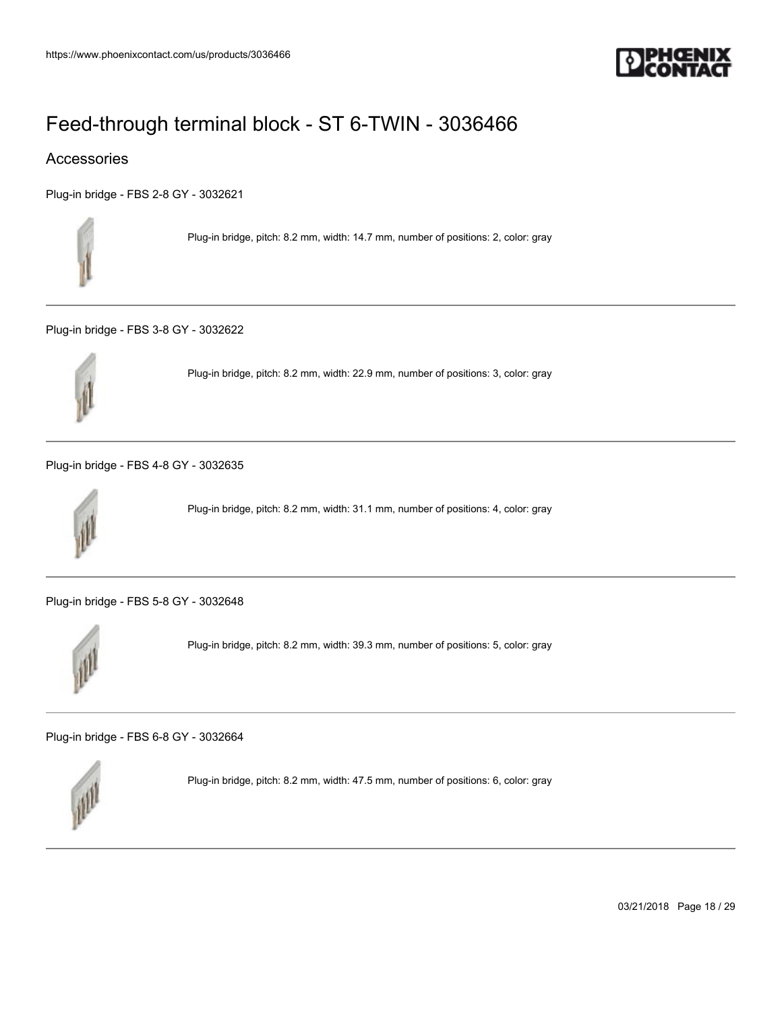

### Accessories

[Plug-in bridge - FBS 2-8 GY - 3032621](https://www.phoenixcontact.com/us/products/3032621)



Plug-in bridge, pitch: 8.2 mm, width: 14.7 mm, number of positions: 2, color: gray

[Plug-in bridge - FBS 3-8 GY - 3032622](https://www.phoenixcontact.com/us/products/3032622)



Plug-in bridge, pitch: 8.2 mm, width: 22.9 mm, number of positions: 3, color: gray

[Plug-in bridge - FBS 4-8 GY - 3032635](https://www.phoenixcontact.com/us/products/3032635)



Plug-in bridge, pitch: 8.2 mm, width: 31.1 mm, number of positions: 4, color: gray

[Plug-in bridge - FBS 5-8 GY - 3032648](https://www.phoenixcontact.com/us/products/3032648)



Plug-in bridge, pitch: 8.2 mm, width: 39.3 mm, number of positions: 5, color: gray

[Plug-in bridge - FBS 6-8 GY - 3032664](https://www.phoenixcontact.com/us/products/3032664)



Plug-in bridge, pitch: 8.2 mm, width: 47.5 mm, number of positions: 6, color: gray

03/21/2018 Page 18 / 29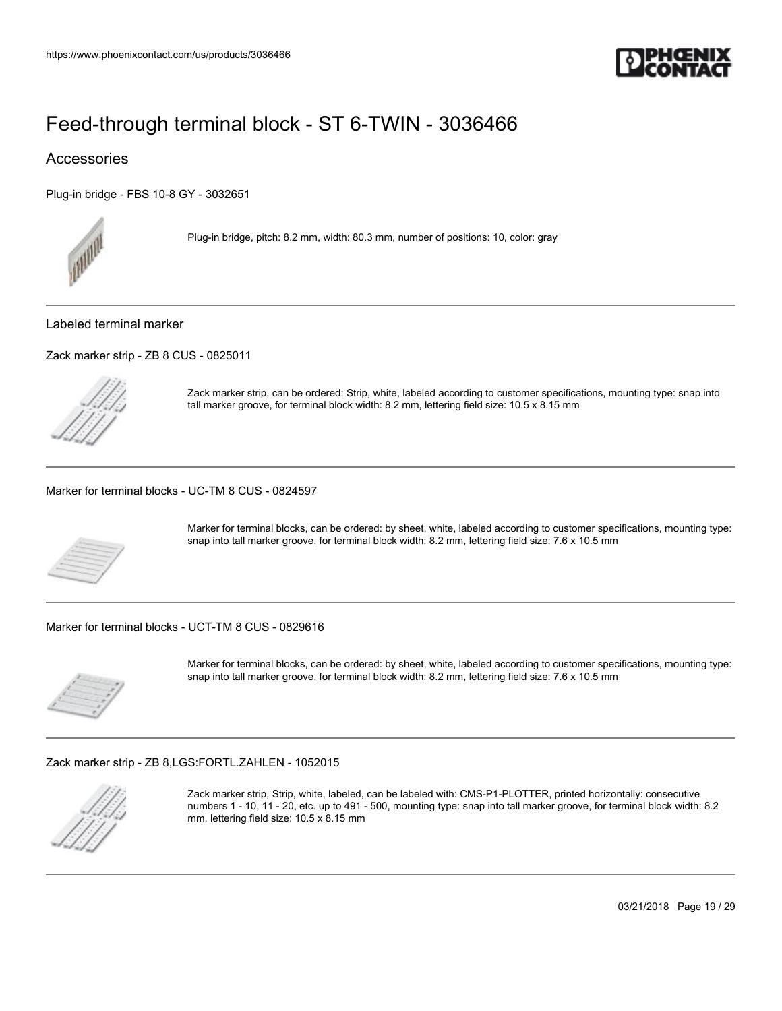

### Accessories

[Plug-in bridge - FBS 10-8 GY - 3032651](https://www.phoenixcontact.com/us/products/3032651)



Plug-in bridge, pitch: 8.2 mm, width: 80.3 mm, number of positions: 10, color: gray

#### Labeled terminal marker

[Zack marker strip - ZB 8 CUS - 0825011](https://www.phoenixcontact.com/us/products/0825011)



Zack marker strip, can be ordered: Strip, white, labeled according to customer specifications, mounting type: snap into tall marker groove, for terminal block width: 8.2 mm, lettering field size: 10.5 x 8.15 mm

[Marker for terminal blocks - UC-TM 8 CUS - 0824597](https://www.phoenixcontact.com/us/products/0824597)



Marker for terminal blocks, can be ordered: by sheet, white, labeled according to customer specifications, mounting type: snap into tall marker groove, for terminal block width: 8.2 mm, lettering field size: 7.6 x 10.5 mm

[Marker for terminal blocks - UCT-TM 8 CUS - 0829616](https://www.phoenixcontact.com/us/products/0829616)



Marker for terminal blocks, can be ordered: by sheet, white, labeled according to customer specifications, mounting type: snap into tall marker groove, for terminal block width: 8.2 mm, lettering field size: 7.6 x 10.5 mm

[Zack marker strip - ZB 8,LGS:FORTL.ZAHLEN - 1052015](https://www.phoenixcontact.com/us/products/1052015)



Zack marker strip, Strip, white, labeled, can be labeled with: CMS-P1-PLOTTER, printed horizontally: consecutive numbers 1 - 10, 11 - 20, etc. up to 491 - 500, mounting type: snap into tall marker groove, for terminal block width: 8.2 mm, lettering field size: 10.5 x 8.15 mm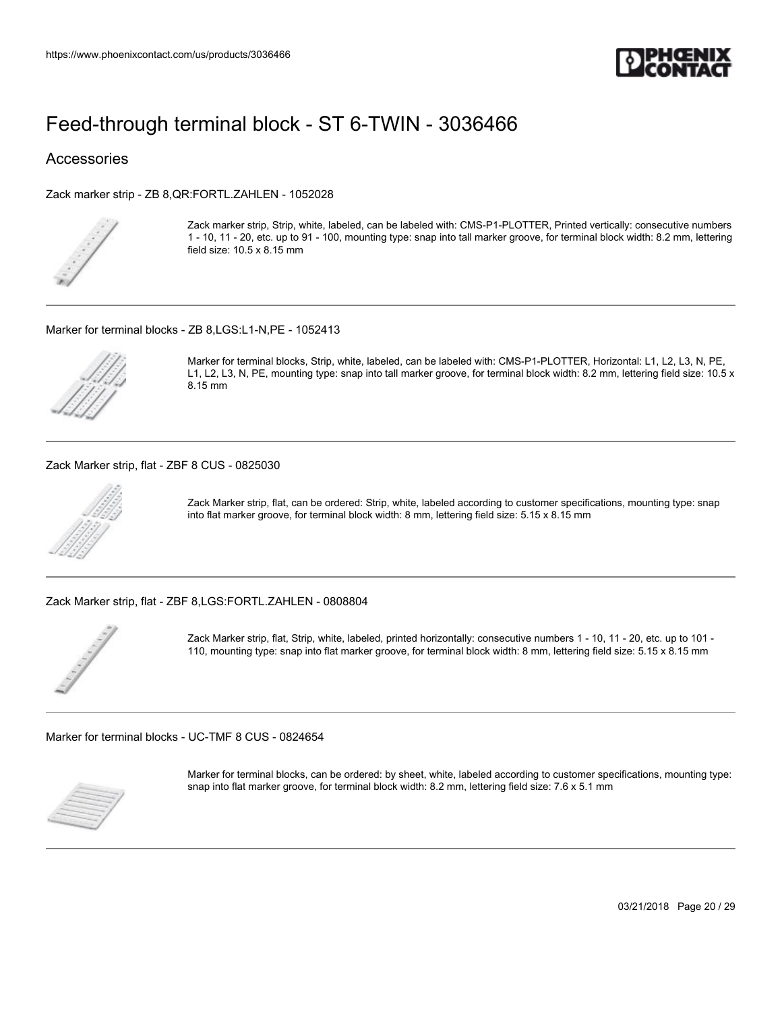

### Accessories

[Zack marker strip - ZB 8,QR:FORTL.ZAHLEN - 1052028](https://www.phoenixcontact.com/us/products/1052028)



Zack marker strip, Strip, white, labeled, can be labeled with: CMS-P1-PLOTTER, Printed vertically: consecutive numbers 1 - 10, 11 - 20, etc. up to 91 - 100, mounting type: snap into tall marker groove, for terminal block width: 8.2 mm, lettering field size: 10.5 x 8.15 mm

[Marker for terminal blocks - ZB 8,LGS:L1-N,PE - 1052413](https://www.phoenixcontact.com/us/products/1052413)



Marker for terminal blocks, Strip, white, labeled, can be labeled with: CMS-P1-PLOTTER, Horizontal: L1, L2, L3, N, PE, L1, L2, L3, N, PE, mounting type: snap into tall marker groove, for terminal block width: 8.2 mm, lettering field size: 10.5 x 8.15 mm

[Zack Marker strip, flat - ZBF 8 CUS - 0825030](https://www.phoenixcontact.com/us/products/0825030)



Zack Marker strip, flat, can be ordered: Strip, white, labeled according to customer specifications, mounting type: snap into flat marker groove, for terminal block width: 8 mm, lettering field size: 5.15 x 8.15 mm

[Zack Marker strip, flat - ZBF 8,LGS:FORTL.ZAHLEN - 0808804](https://www.phoenixcontact.com/us/products/0808804)



Zack Marker strip, flat, Strip, white, labeled, printed horizontally: consecutive numbers 1 - 10, 11 - 20, etc. up to 101 - 110, mounting type: snap into flat marker groove, for terminal block width: 8 mm, lettering field size: 5.15 x 8.15 mm

[Marker for terminal blocks - UC-TMF 8 CUS - 0824654](https://www.phoenixcontact.com/us/products/0824654)



Marker for terminal blocks, can be ordered: by sheet, white, labeled according to customer specifications, mounting type: snap into flat marker groove, for terminal block width: 8.2 mm, lettering field size: 7.6 x 5.1 mm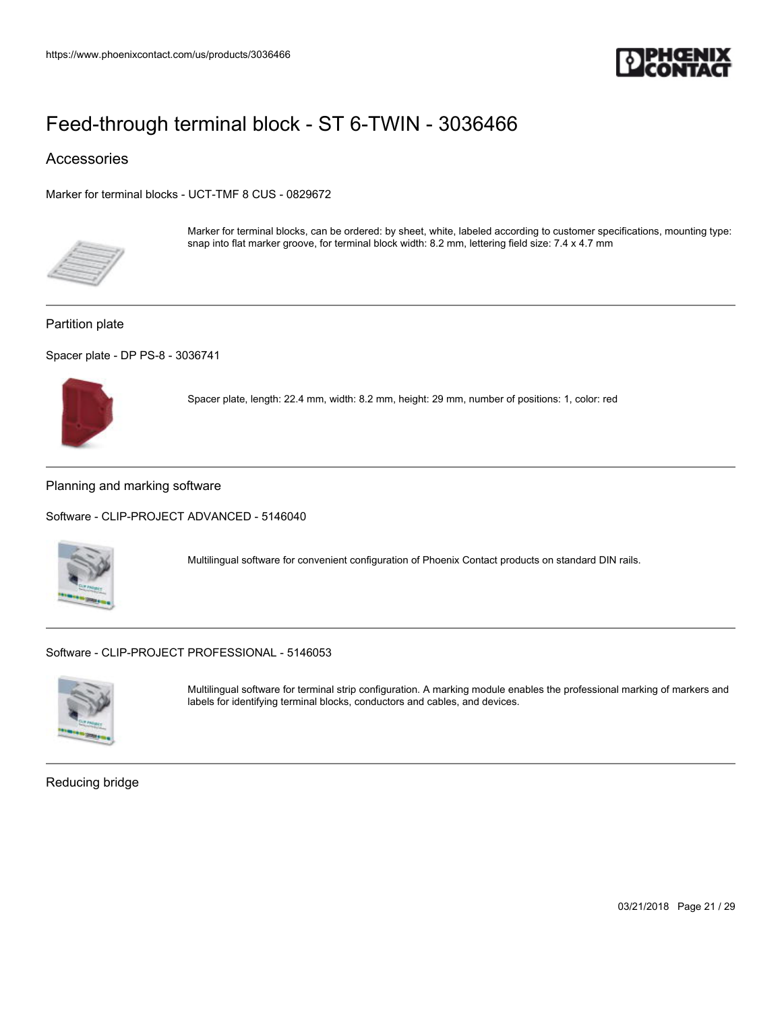

### Accessories

[Marker for terminal blocks - UCT-TMF 8 CUS - 0829672](https://www.phoenixcontact.com/us/products/0829672)



Marker for terminal blocks, can be ordered: by sheet, white, labeled according to customer specifications, mounting type: snap into flat marker groove, for terminal block width: 8.2 mm, lettering field size: 7.4 x 4.7 mm

#### Partition plate

[Spacer plate - DP PS-8 - 3036741](https://www.phoenixcontact.com/us/products/3036741)



Spacer plate, length: 22.4 mm, width: 8.2 mm, height: 29 mm, number of positions: 1, color: red

#### Planning and marking software

[Software - CLIP-PROJECT ADVANCED - 5146040](https://www.phoenixcontact.com/us/products/5146040)



Multilingual software for convenient configuration of Phoenix Contact products on standard DIN rails.

[Software - CLIP-PROJECT PROFESSIONAL - 5146053](https://www.phoenixcontact.com/us/products/5146053)



Multilingual software for terminal strip configuration. A marking module enables the professional marking of markers and labels for identifying terminal blocks, conductors and cables, and devices.

Reducing bridge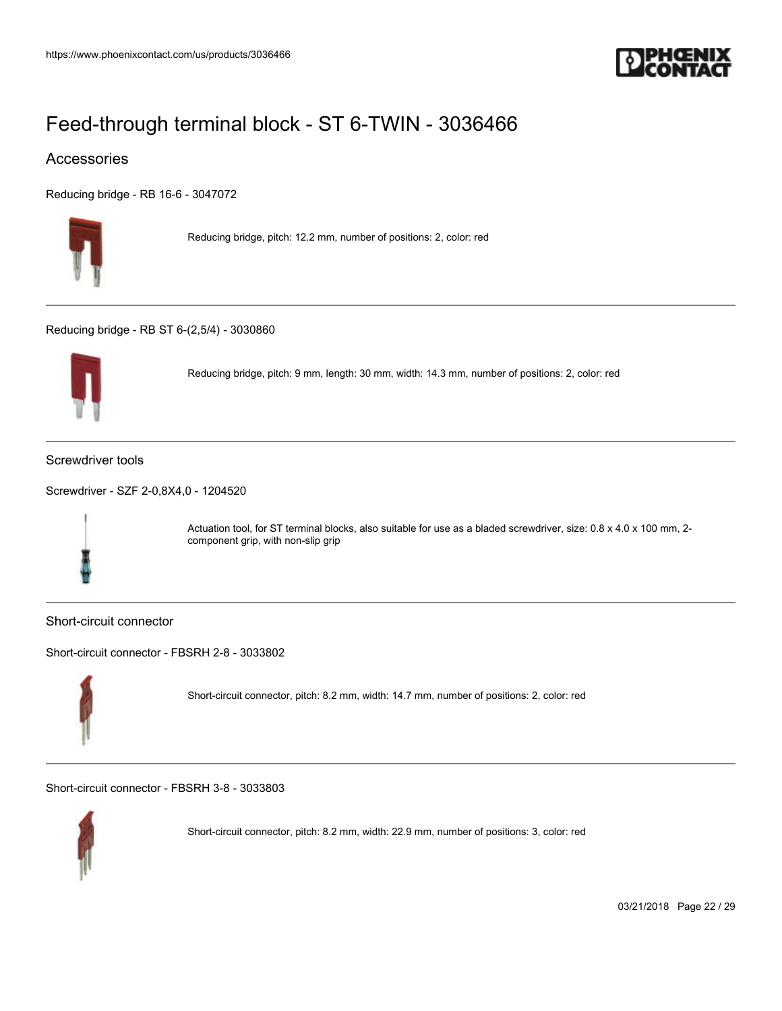

### Accessories

[Reducing bridge - RB 16-6 - 3047072](https://www.phoenixcontact.com/us/products/3047072)



Reducing bridge, pitch: 12.2 mm, number of positions: 2, color: red

[Reducing bridge - RB ST 6-\(2,5/4\) - 3030860](https://www.phoenixcontact.com/us/products/3030860)



Reducing bridge, pitch: 9 mm, length: 30 mm, width: 14.3 mm, number of positions: 2, color: red

#### Screwdriver tools

[Screwdriver - SZF 2-0,8X4,0 - 1204520](https://www.phoenixcontact.com/us/products/1204520)



Actuation tool, for ST terminal blocks, also suitable for use as a bladed screwdriver, size: 0.8 x 4.0 x 100 mm, 2component grip, with non-slip grip

#### Short-circuit connector

[Short-circuit connector - FBSRH 2-8 - 3033802](https://www.phoenixcontact.com/us/products/3033802)



Short-circuit connector, pitch: 8.2 mm, width: 14.7 mm, number of positions: 2, color: red

[Short-circuit connector - FBSRH 3-8 - 3033803](https://www.phoenixcontact.com/us/products/3033803)



Short-circuit connector, pitch: 8.2 mm, width: 22.9 mm, number of positions: 3, color: red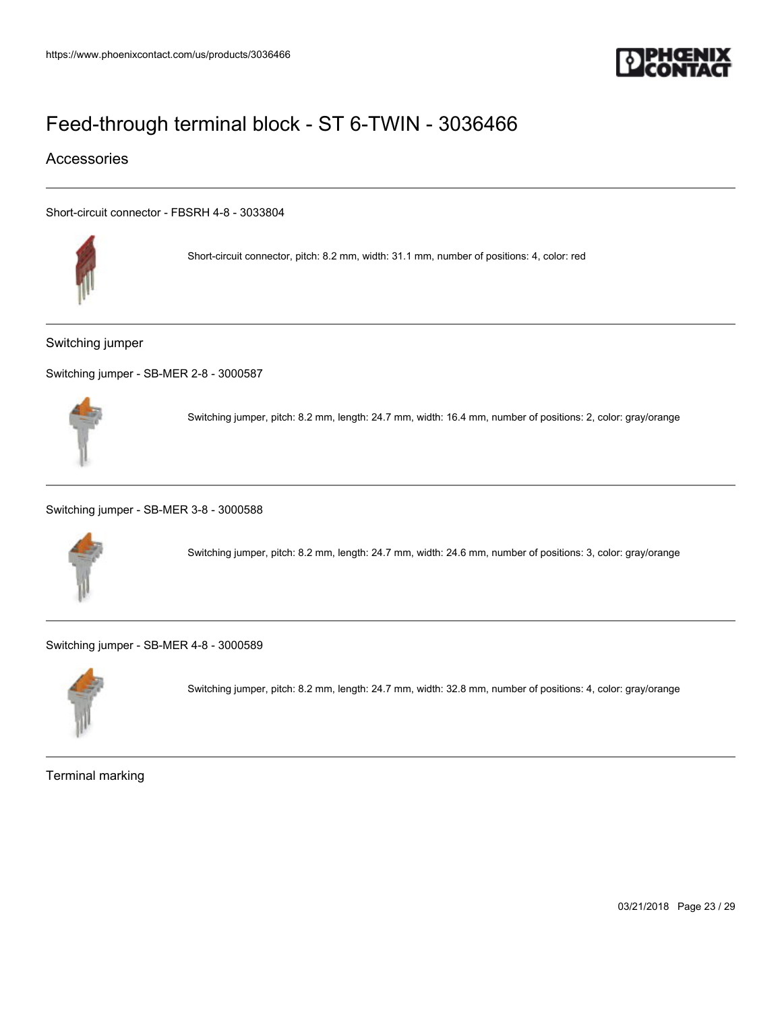

### Accessories

[Short-circuit connector - FBSRH 4-8 - 3033804](https://www.phoenixcontact.com/us/products/3033804)



Short-circuit connector, pitch: 8.2 mm, width: 31.1 mm, number of positions: 4, color: red

Switching jumper

[Switching jumper - SB-MER 2-8 - 3000587](https://www.phoenixcontact.com/us/products/3000587)



Switching jumper, pitch: 8.2 mm, length: 24.7 mm, width: 16.4 mm, number of positions: 2, color: gray/orange

[Switching jumper - SB-MER 3-8 - 3000588](https://www.phoenixcontact.com/us/products/3000588)



Switching jumper, pitch: 8.2 mm, length: 24.7 mm, width: 24.6 mm, number of positions: 3, color: gray/orange

[Switching jumper - SB-MER 4-8 - 3000589](https://www.phoenixcontact.com/us/products/3000589)



Switching jumper, pitch: 8.2 mm, length: 24.7 mm, width: 32.8 mm, number of positions: 4, color: gray/orange

Terminal marking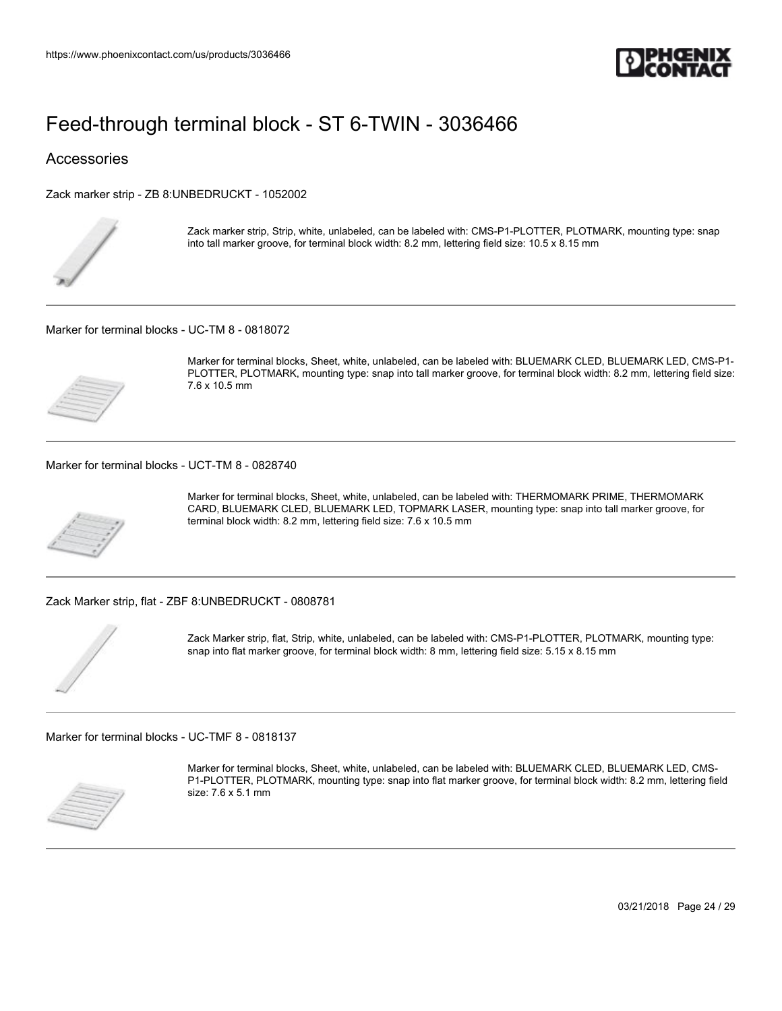

### Accessories

[Zack marker strip - ZB 8:UNBEDRUCKT - 1052002](https://www.phoenixcontact.com/us/products/1052002)



Zack marker strip, Strip, white, unlabeled, can be labeled with: CMS-P1-PLOTTER, PLOTMARK, mounting type: snap into tall marker groove, for terminal block width: 8.2 mm, lettering field size: 10.5 x 8.15 mm

[Marker for terminal blocks - UC-TM 8 - 0818072](https://www.phoenixcontact.com/us/products/0818072)



Marker for terminal blocks, Sheet, white, unlabeled, can be labeled with: BLUEMARK CLED, BLUEMARK LED, CMS-P1- PLOTTER, PLOTMARK, mounting type: snap into tall marker groove, for terminal block width: 8.2 mm, lettering field size: 7.6 x 10.5 mm

[Marker for terminal blocks - UCT-TM 8 - 0828740](https://www.phoenixcontact.com/us/products/0828740)



Marker for terminal blocks, Sheet, white, unlabeled, can be labeled with: THERMOMARK PRIME, THERMOMARK CARD, BLUEMARK CLED, BLUEMARK LED, TOPMARK LASER, mounting type: snap into tall marker groove, for terminal block width: 8.2 mm, lettering field size: 7.6 x 10.5 mm

[Zack Marker strip, flat - ZBF 8:UNBEDRUCKT - 0808781](https://www.phoenixcontact.com/us/products/0808781)



Zack Marker strip, flat, Strip, white, unlabeled, can be labeled with: CMS-P1-PLOTTER, PLOTMARK, mounting type: snap into flat marker groove, for terminal block width: 8 mm, lettering field size: 5.15 x 8.15 mm

[Marker for terminal blocks - UC-TMF 8 - 0818137](https://www.phoenixcontact.com/us/products/0818137)



Marker for terminal blocks, Sheet, white, unlabeled, can be labeled with: BLUEMARK CLED, BLUEMARK LED, CMS-P1-PLOTTER, PLOTMARK, mounting type: snap into flat marker groove, for terminal block width: 8.2 mm, lettering field size: 7.6 x 5.1 mm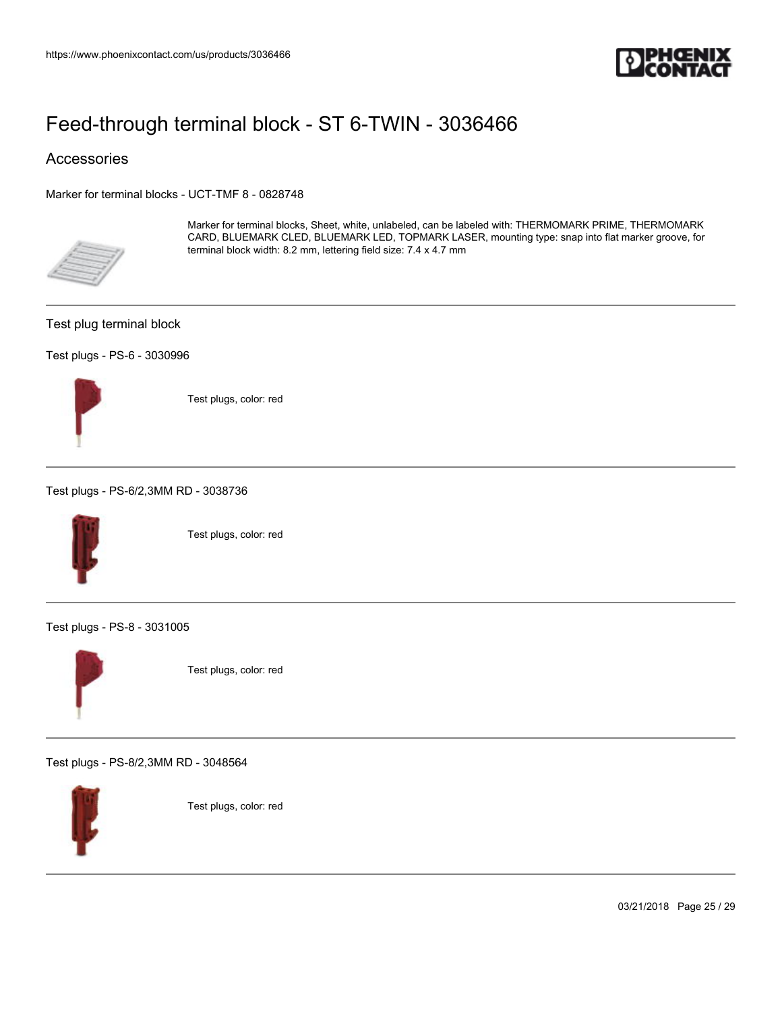

### Accessories

[Marker for terminal blocks - UCT-TMF 8 - 0828748](https://www.phoenixcontact.com/us/products/0828748)



Marker for terminal blocks, Sheet, white, unlabeled, can be labeled with: THERMOMARK PRIME, THERMOMARK CARD, BLUEMARK CLED, BLUEMARK LED, TOPMARK LASER, mounting type: snap into flat marker groove, for terminal block width: 8.2 mm, lettering field size: 7.4 x 4.7 mm

#### Test plug terminal block

#### [Test plugs - PS-6 - 3030996](https://www.phoenixcontact.com/us/products/3030996)



Test plugs, color: red

[Test plugs - PS-6/2,3MM RD - 3038736](https://www.phoenixcontact.com/us/products/3038736)



Test plugs, color: red

[Test plugs - PS-8 - 3031005](https://www.phoenixcontact.com/us/products/3031005)



Test plugs, color: red

[Test plugs - PS-8/2,3MM RD - 3048564](https://www.phoenixcontact.com/us/products/3048564)



Test plugs, color: red

03/21/2018 Page 25 / 29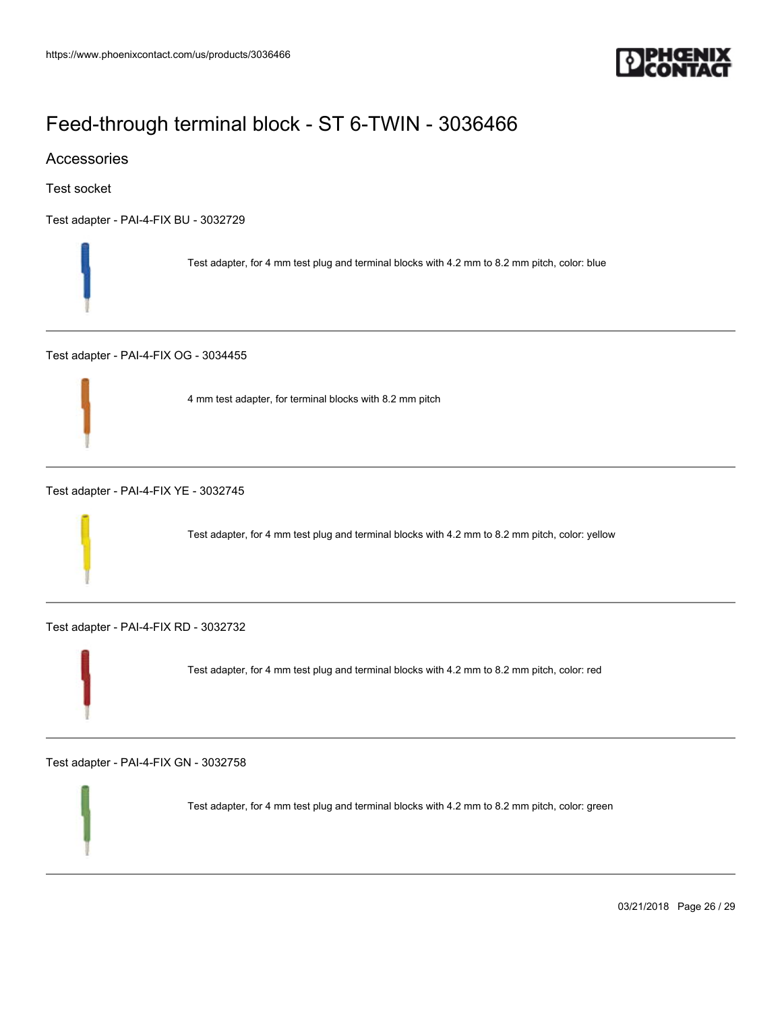

### Accessories

Test socket

[Test adapter - PAI-4-FIX BU - 3032729](https://www.phoenixcontact.com/us/products/3032729)



[Test adapter - PAI-4-FIX OG - 3034455](https://www.phoenixcontact.com/us/products/3034455)



4 mm test adapter, for terminal blocks with 8.2 mm pitch

[Test adapter - PAI-4-FIX YE - 3032745](https://www.phoenixcontact.com/us/products/3032745)

Test adapter, for 4 mm test plug and terminal blocks with 4.2 mm to 8.2 mm pitch, color: yellow

[Test adapter - PAI-4-FIX RD - 3032732](https://www.phoenixcontact.com/us/products/3032732)

Test adapter, for 4 mm test plug and terminal blocks with 4.2 mm to 8.2 mm pitch, color: red

[Test adapter - PAI-4-FIX GN - 3032758](https://www.phoenixcontact.com/us/products/3032758)

Test adapter, for 4 mm test plug and terminal blocks with 4.2 mm to 8.2 mm pitch, color: green

03/21/2018 Page 26 / 29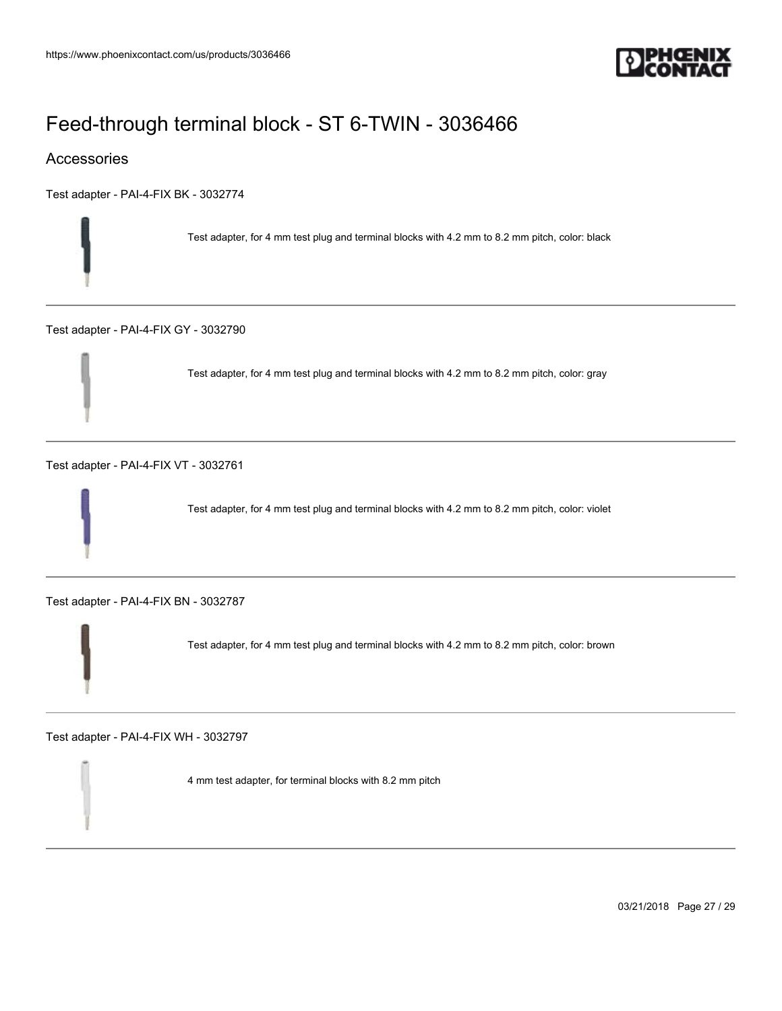

### Accessories

[Test adapter - PAI-4-FIX BK - 3032774](https://www.phoenixcontact.com/us/products/3032774)

Test adapter, for 4 mm test plug and terminal blocks with 4.2 mm to 8.2 mm pitch, color: black

[Test adapter - PAI-4-FIX GY - 3032790](https://www.phoenixcontact.com/us/products/3032790)

Test adapter, for 4 mm test plug and terminal blocks with 4.2 mm to 8.2 mm pitch, color: gray

[Test adapter - PAI-4-FIX VT - 3032761](https://www.phoenixcontact.com/us/products/3032761)

Test adapter, for 4 mm test plug and terminal blocks with 4.2 mm to 8.2 mm pitch, color: violet

[Test adapter - PAI-4-FIX BN - 3032787](https://www.phoenixcontact.com/us/products/3032787)

Test adapter, for 4 mm test plug and terminal blocks with 4.2 mm to 8.2 mm pitch, color: brown

[Test adapter - PAI-4-FIX WH - 3032797](https://www.phoenixcontact.com/us/products/3032797)

4 mm test adapter, for terminal blocks with 8.2 mm pitch

03/21/2018 Page 27 / 29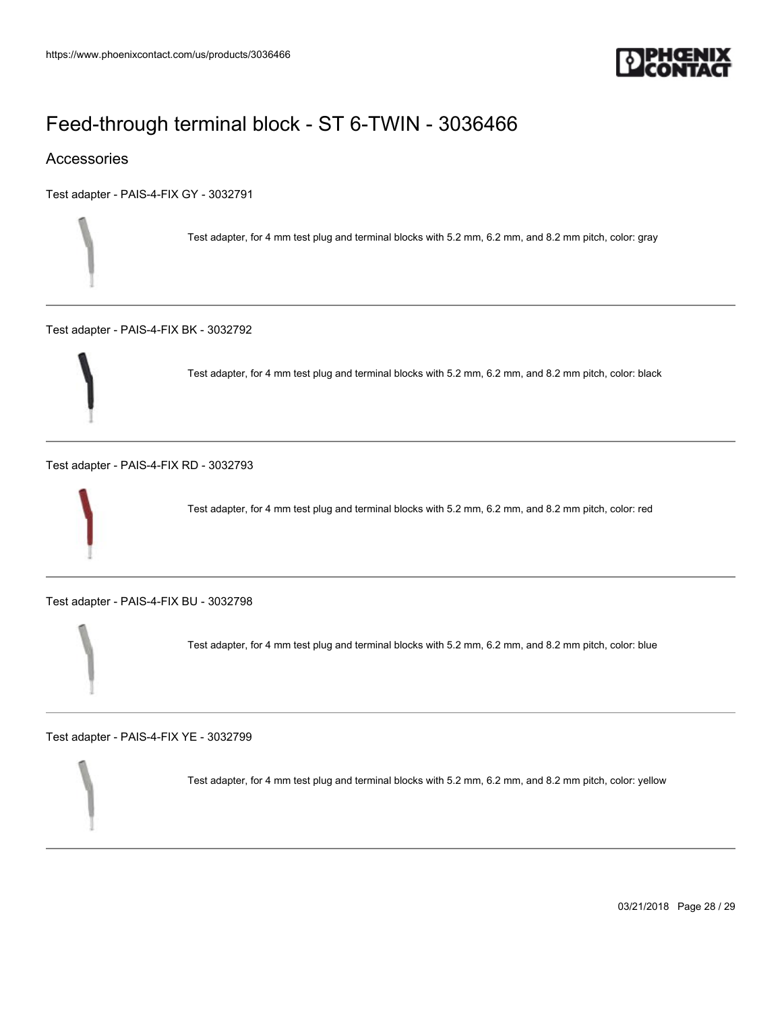

### Accessories

[Test adapter - PAIS-4-FIX GY - 3032791](https://www.phoenixcontact.com/us/products/3032791)

Test adapter, for 4 mm test plug and terminal blocks with 5.2 mm, 6.2 mm, and 8.2 mm pitch, color: gray

[Test adapter - PAIS-4-FIX BK - 3032792](https://www.phoenixcontact.com/us/products/3032792)

Test adapter, for 4 mm test plug and terminal blocks with 5.2 mm, 6.2 mm, and 8.2 mm pitch, color: black

[Test adapter - PAIS-4-FIX RD - 3032793](https://www.phoenixcontact.com/us/products/3032793)



Test adapter, for 4 mm test plug and terminal blocks with 5.2 mm, 6.2 mm, and 8.2 mm pitch, color: red

[Test adapter - PAIS-4-FIX BU - 3032798](https://www.phoenixcontact.com/us/products/3032798)

Test adapter, for 4 mm test plug and terminal blocks with 5.2 mm, 6.2 mm, and 8.2 mm pitch, color: blue

[Test adapter - PAIS-4-FIX YE - 3032799](https://www.phoenixcontact.com/us/products/3032799)

Test adapter, for 4 mm test plug and terminal blocks with 5.2 mm, 6.2 mm, and 8.2 mm pitch, color: yellow